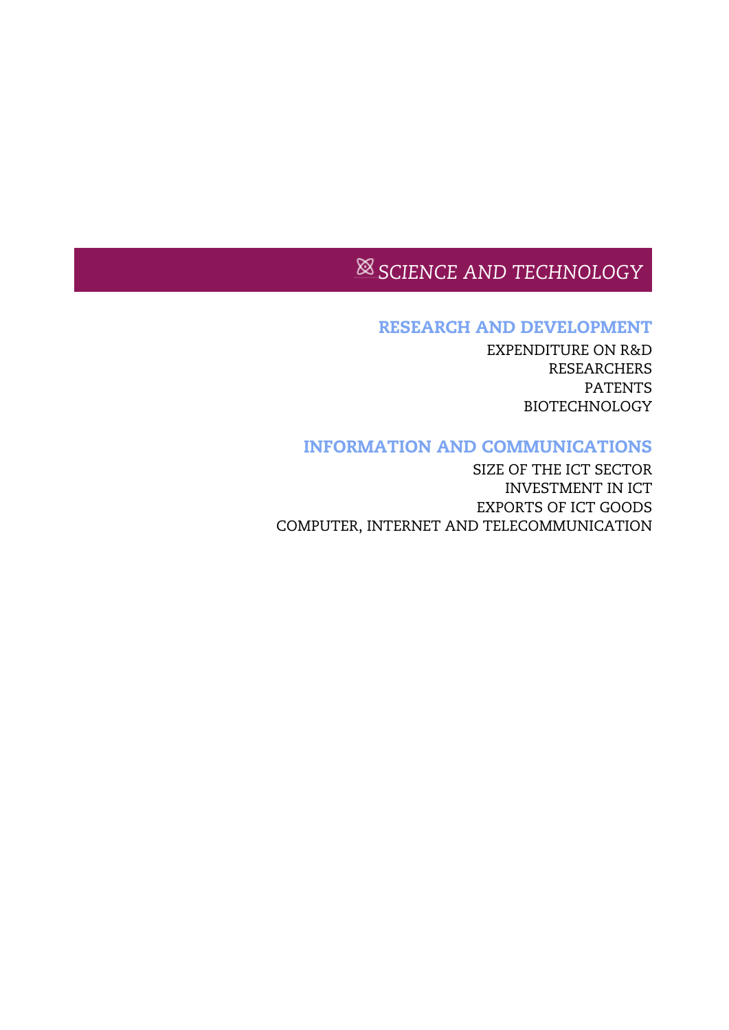# *SCIENCE AND TECHNOLOGY*

# RESEARCH AND DEVELOPMENT

[EXPENDITURE ON R&D](#page-1-0)  [RESEARCHERS](#page-3-0)  [PATENTS](#page-5-0)  [BIOTECHNOLOGY](#page-7-0) 

# INFORMATION AND COMMUNICATIONS

[SIZE OF THE ICT SECTOR](#page-9-0)  [INVESTMENT IN ICT](#page-11-0) [EXPORTS OF ICT GOODS](#page-13-0) [COMPUTER, INTERNET AND TELECOMMUNICATION](#page-15-0)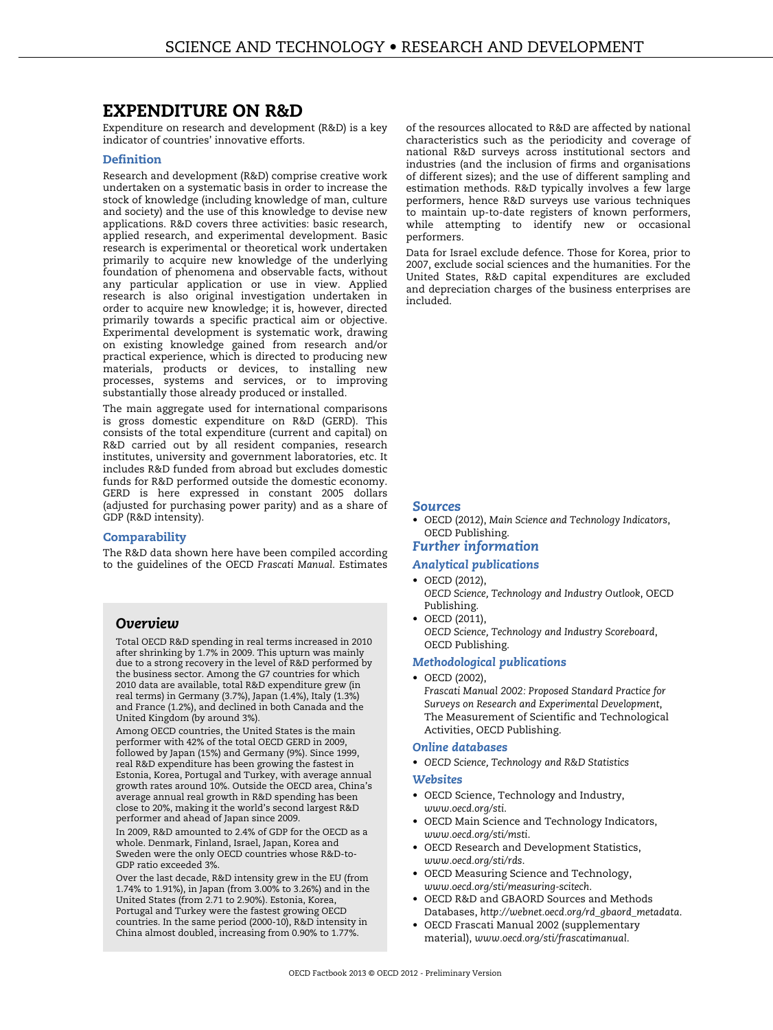# <span id="page-1-0"></span>EXPENDITURE ON R&D

Expenditure on research and development (R&D) is a key indicator of countries' innovative efforts.

#### Definition

Research and development (R&D) comprise creative work undertaken on a systematic basis in order to increase the stock of knowledge (including knowledge of man, culture and society) and the use of this knowledge to devise new applications. R&D covers three activities: basic research, applied research, and experimental development. Basic research is experimental or theoretical work undertaken primarily to acquire new knowledge of the underlying foundation of phenomena and observable facts, without any particular application or use in view. Applied research is also original investigation undertaken in order to acquire new knowledge; it is, however, directed primarily towards a specific practical aim or objective. Experimental development is systematic work, drawing on existing knowledge gained from research and/or practical experience, which is directed to producing new materials, products or devices, to installing new processes, systems and services, or to improving substantially those already produced or installed.

The main aggregate used for international comparisons is gross domestic expenditure on R&D (GERD). This consists of the total expenditure (current and capital) on R&D carried out by all resident companies, research institutes, university and government laboratories, etc. It includes R&D funded from abroad but excludes domestic funds for R&D performed outside the domestic economy. GERD is here expressed in constant 2005 dollars (adjusted for purchasing power parity) and as a share of GDP (R&D intensity).

#### **Comparability**

The R&D data shown here have been compiled according to the guidelines of the OECD *Frascati Manual*. Estimates

#### *Overview*

Total OECD R&D spending in real terms increased in 2010 after shrinking by 1.7% in 2009. This upturn was mainly due to a strong recovery in the level of R&D performed by the business sector. Among the G7 countries for which 2010 data are available, total R&D expenditure grew (in real terms) in Germany (3.7%), Japan (1.4%), Italy (1.3%) and France (1.2%), and declined in both Canada and the United Kingdom (by around 3%).

Among OECD countries, the United States is the main performer with 42% of the total OECD GERD in 2009, followed by Japan (15%) and Germany (9%). Since 1999, real R&D expenditure has been growing the fastest in Estonia, Korea, Portugal and Turkey, with average annual growth rates around 10%. Outside the OECD area, China's average annual real growth in R&D spending has been close to 20%, making it the world's second largest R&D performer and ahead of Japan since 2009.

In 2009, R&D amounted to 2.4% of GDP for the OECD as a whole. Denmark, Finland, Israel, Japan, Korea and Sweden were the only OECD countries whose R&D-to-GDP ratio exceeded 3%.

Over the last decade, R&D intensity grew in the EU (from 1.74% to 1.91%), in Japan (from 3.00% to 3.26%) and in the United States (from 2.71 to 2.90%). Estonia, Korea, Portugal and Turkey were the fastest growing OECD countries. In the same period (2000-10), R&D intensity in China almost doubled, increasing from 0.90% to 1.77%.

of the resources allocated to R&D are affected by national characteristics such as the periodicity and coverage of national R&D surveys across institutional sectors and industries (and the inclusion of firms and organisations of different sizes); and the use of different sampling and estimation methods. R&D typically involves a few large performers, hence R&D surveys use various techniques to maintain up-to-date registers of known performers, while attempting to identify new or occasional performers.

Data for Israel exclude defence. Those for Korea, prior to 2007, exclude social sciences and the humanities. For the United States, R&D capital expenditures are excluded and depreciation charges of the business enterprises are included.

#### *Sources*

• OECD (2012), *Main Science and Technology Indicators*, OECD Publishing.

#### *Further information*

#### *Analytical publications*

- OECD (2012), *OECD Science, Technology and Industry Outlook*, OECD Publishing.
- OECD (2011), *OECD Science, Technology and Industry Scoreboard*, OECD Publishing.

#### *Methodological publications*

• OECD (2002),

*Frascati Manual 2002: Proposed Standard Practice for Surveys on Research and Experimental Development*, The Measurement of Scientific and Technological Activities, OECD Publishing.

#### *Online databases*

• *OECD Science, Technology and R&D Statistics*

- OECD Science, Technology and Industry, *www.oecd.org/sti*.
- OECD Main Science and Technology Indicators, *www.oecd.org/sti/msti*.
- OECD Research and Development Statistics, *www.oecd.org/sti/rds*.
- OECD Measuring Science and Technology, *www.oecd.org/sti/measuring-scitech*.
- OECD R&D and GBAORD Sources and Methods Databases, *http://webnet.oecd.org/rd\_gbaord\_metadata*.
- OECD Frascati Manual 2002 (supplementary material), *www.oecd.org/sti/frascatimanual*.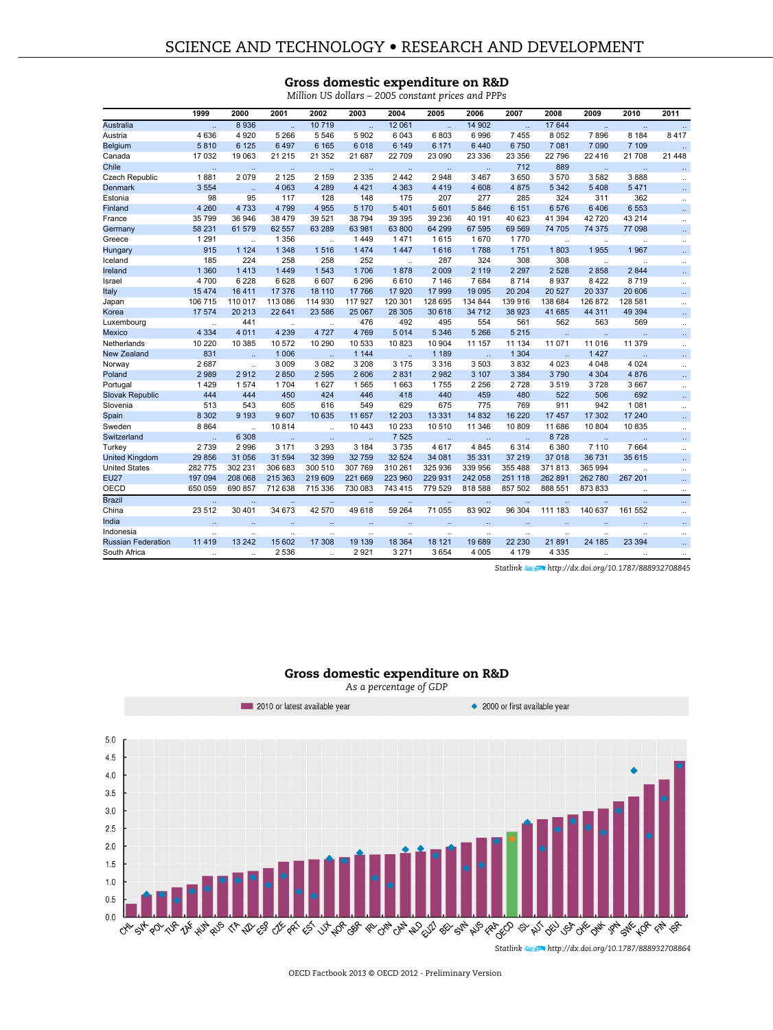|                           | 1999                 | 2000                 | 2001                 | 2002                 | 2003       | 2004                 | 2005                 | 2006    | 2007      | 2008                 | 2009                        | 2010                 | 2011                 |
|---------------------------|----------------------|----------------------|----------------------|----------------------|------------|----------------------|----------------------|---------|-----------|----------------------|-----------------------------|----------------------|----------------------|
| Australia                 |                      | 8936                 |                      | 10719                |            | 12 061               |                      | 14 902  |           | 17644                |                             |                      |                      |
|                           | u.<br>4 6 3 6        | 4 9 20               | ÷.<br>5 2 6 6        | 5 5 4 6              | ä,<br>5902 | 6 0 4 3              | ü.<br>6803           | 6996    | 7455      | 8 0 5 2              | $\mathbb{Z}^2$<br>7896      | $\ddotsc$<br>8 1 8 4 | 8417                 |
| Austria                   |                      |                      |                      |                      |            |                      | 6 171                |         |           |                      |                             |                      |                      |
| <b>Belgium</b>            | 5810                 | 6 1 2 5              | 6 4 9 7              | 6 1 6 5              | 6018       | 6 1 4 9              |                      | 6440    | 6750      | 7 0 8 1              | 7 0 9 0                     | 7 109                |                      |
| Canada                    | 17 032               | 19 063               | 21 215               | 21 352               | 21 687     | 22 709               | 23 090               | 23 336  | 23 356    | 22 796               | 22 4 16                     | 21 708               | 21 448               |
| Chile                     | u.                   | $\ddotsc$            | $\ddotsc$            | u.                   | ä.         | $\ddotsc$            | $\ddot{\phantom{1}}$ | u.      | 712       | 889                  | $\mathcal{L}_{\mathcal{A}}$ | $\ddot{\phantom{a}}$ | $\ddotsc$            |
| <b>Czech Republic</b>     | 1881                 | 2079                 | 2 1 2 5              | 2 1 5 9              | 2 3 3 5    | 2 4 4 2              | 2948                 | 3 4 6 7 | 3650      | 3570                 | 3582                        | 3888                 |                      |
| <b>Denmark</b>            | 3 5 5 4              | $\ddotsc$            | 4 0 6 3              | 4 2 8 9              | 4 4 2 1    | 4 3 6 3              | 4419                 | 4 6 0 8 | 4 8 7 5   | 5 3 4 2              | 5 4 0 8                     | 5 4 7 1              | $\ddotsc$            |
| Estonia                   | 98                   | 95                   | 117                  | 128                  | 148        | 175                  | 207                  | 277     | 285       | 324                  | 311                         | 362                  | $\ddot{\phantom{0}}$ |
| Finland                   | 4 2 6 0              | 4 7 3 3              | 4 7 9 9              | 4 9 5 5              | 5 1 7 0    | 5 4 0 1              | 5 601                | 5846    | 6 151     | 6576                 | 6406                        | 6 5 5 3              | $\ldots$             |
| France                    | 35 799               | 36 946               | 38 479               | 39 521               | 38 794     | 39 395               | 39 236               | 40 191  | 40 623    | 41 394               | 42 720                      | 43 214               | $\ddotsc$            |
| Germany                   | 58 231               | 61 579               | 62 557               | 63 289               | 63 981     | 63 800               | 64 299               | 67 595  | 69 569    | 74 705               | 74 375                      | 77 098               |                      |
| Greece                    | 1 2 9 1              | $\ddotsc$            | 1 3 5 6              | $\ddot{\phantom{a}}$ | 1449       | 1471                 | 1615                 | 1670    | 1770      | $\ddotsc$            | $\ddotsc$                   | $\ddotsc$            |                      |
| Hungary                   | 915                  | 1 1 2 4              | 1 3 4 8              | 1516                 | 1474       | 1 4 4 7              | 1616                 | 1788    | 1751      | 1803                 | 1955                        | 1967                 | $\ddotsc$            |
| Iceland                   | 185                  | 224                  | 258                  | 258                  | 252        | $\ddot{\phantom{a}}$ | 287                  | 324     | 308       | 308                  | $\ddotsc$                   |                      | $\ddotsc$            |
| Ireland                   | 1 3 6 0              | 1413                 | 1449                 | 1 5 4 3              | 1706       | 1878                 | 2 0 0 9              | 2 1 1 9 | 2 2 9 7   | 2 5 2 8              | 2858                        | 2844                 | $\ddotsc$            |
| Israel                    | 4700                 | 6 2 2 8              | 6628                 | 6 607                | 6 2 9 6    | 6610                 | 7 1 4 6              | 7684    | 8714      | 8937                 | 8 4 2 2                     | 8719                 | $\ddot{\phantom{a}}$ |
| Italy                     | 15 4 74              | 16411                | 17 376               | 18 110               | 17 766     | 17920                | 17 999               | 19 0 95 | 20 204    | 20 5 27              | 20 337                      | 20 606               | $\ddotsc$            |
| Japan                     | 106 715              | 110 017              | 113 086              | 114 930              | 117 927    | 120 301              | 128 695              | 134 844 | 139 916   | 138 684              | 126 872                     | 128 581              | $\ddot{\phantom{a}}$ |
| Korea                     | 17 574               | 20 213               | 22 641               | 23 5 86              | 25 067     | 28 305               | 30 618               | 34 7 12 | 38 923    | 41 685               | 44 311                      | 49 394               |                      |
| Luxembourg                | $\ddotsc$            | 441                  | $\ddot{\phantom{a}}$ | $\ddot{\phantom{a}}$ | 476        | 492                  | 495                  | 554     | 561       | 562                  | 563                         | 569                  | $\ddot{\phantom{a}}$ |
| <b>Mexico</b>             | 4 3 3 4              | 4 0 1 1              | 4 2 3 9              | 4 7 2 7              | 4769       | 5014                 | 5 3 4 6              | 5 2 6 6 | 5 2 1 5   | $\ddot{\phantom{a}}$ | $\ddot{\phantom{0}}$        | $\ddot{\phantom{0}}$ | $\ddotsc$            |
| Netherlands               | 10 220               | 10 385               | 10 572               | 10 290               | 10 533     | 10823                | 10 904               | 11 157  | 11 134    | 11 071               | 11 0 16                     | 11 379               | $\ddot{\phantom{a}}$ |
| <b>New Zealand</b>        | 831                  | $\mathbb{Z}^2$       | 1 0 0 6              | u.                   | 1 1 4 4    | ä,                   | 1 1 8 9              | ä.      | 1 3 0 4   | u.                   | 1427                        | $\ddotsc$            | $\ddotsc$            |
| Norway                    | 2 6 8 7              | $\ddot{\phantom{a}}$ | 3 0 0 9              | 3 0 8 2              | 3 2 0 8    | 3 1 7 5              | 3316                 | 3 5 0 3 | 3832      | 4 0 2 3              | 4 0 4 8                     | 4 0 24               | $\ddot{\phantom{0}}$ |
| Poland                    | 2 9 8 9              | 2912                 | 2850                 | 2 5 9 5              | 2 606      | 2831                 | 2982                 | 3 1 0 7 | 3 3 8 4   | 3790                 | 4 3 0 4                     | 4876                 | $\ldots$             |
| Portugal                  | 1429                 | 1574                 | 1 704                | 1627                 | 1565       | 1663                 | 1755                 | 2 2 5 6 | 2728      | 3519                 | 3728                        | 3667                 | $\ddot{\phantom{a}}$ |
| <b>Slovak Republic</b>    | 444                  | 444                  | 450                  | 424                  | 446        | 418                  | 440                  | 459     | 480       | 522                  | 506                         | 692                  | $\ddotsc$            |
| Slovenia                  | 513                  | 543                  | 605                  | 616                  | 549        | 629                  | 675                  | 775     | 769       | 911                  | 942                         | 1 0 8 1              |                      |
| Spain                     | 8 3 0 2              | 9 1 9 3              | 9607                 | 10 635               | 11 657     | 12 203               | 13 3 3 1             | 14 832  | 16 220    | 17457                | 17 302                      | 17 240               | $\ddotsc$            |
| Sweden                    | 8 8 6 4              | $\ddot{\phantom{a}}$ | 10814                | $\ddot{\phantom{a}}$ | 10 443     | 10 233               | 10 510               | 11 346  | 10 809    | 11 686               | 10 804                      | 10835                | $\ddotsc$            |
| Switzerland               | u.                   | 6 3 0 8              | $\ddotsc$            | $\ddotsc$            | u,         | 7 5 25               | u,                   | Ω.      | u,        | 8728                 | u,                          | ÷.                   | $\ddotsc$            |
| Turkey                    | 2739                 | 2996                 | 3 1 7 1              | 3 2 9 3              | 3 1 8 4    | 3735                 | 4617                 | 4845    | 6314      | 6 3 8 0              | 7 1 1 0                     | 7 6 6 4              |                      |
| <b>United Kingdom</b>     | 29 856               | 31 056               | 31 594               | 32 399               | 32759      | 32 524               | 34 081               | 35 331  | 37 219    | 37 018               | 36 731                      | 35 615               | $\ddotsc$            |
| <b>United States</b>      | 282 775              | 302 231              | 306 683              | 300 510              | 307 769    | 310 261              | 325 936              | 339 956 | 355 488   | 371813               | 365 994                     | $\ddotsc$            | $\ddot{\phantom{a}}$ |
| <b>EU27</b>               | 197 094              | 208 068              | 215 363              | 219 609              | 221 669    | 223 960              | 229 931              | 242 058 | 251 118   | 262 891              | 262 780                     | 267 201              | $\ddotsc$            |
| <b>OECD</b>               | 650 059              | 690 857              | 712 638              | 715 336              | 730 083    | 743 415              | 779 529              | 818 588 | 857 502   | 888 551              | 873 833                     |                      | $\ddot{\phantom{a}}$ |
| <b>Brazil</b>             |                      | $\ddotsc$            |                      | $\ddotsc$            | ä,         | ٠.                   | ٠.                   |         |           | $\ddotsc$            |                             | $\ddotsc$            | $\ldots$             |
| China                     | 23 512               | 30 401               | 34 673               | 42 570               | 49618      | 59 264               | 71 055               | 83 902  | 96 304    | 111 183              | 140 637                     | 161 552              | $\ddot{\phantom{a}}$ |
| India                     | ÷.                   | $\ddotsc$            | $\ddotsc$            | ÷.                   | ÷.         | Ξ.                   | ÷.                   | Ω.      | ÷.        | $\ddotsc$            |                             |                      | $\ddotsc$            |
| Indonesia                 |                      | $\ddotsc$            | $\ddotsc$            | $\ddotsc$            | $\ddotsc$  | $\ddotsc$            | $\ddot{\phantom{0}}$ |         | $\ddotsc$ |                      | $\ddot{\phantom{a}}$        | $\ddot{\phantom{a}}$ | $\ddot{\phantom{0}}$ |
| <b>Russian Federation</b> | 11 4 19              | 13 24 2              | 15 602               | 17 308               | 19 139     | 18 3 64              | 18 121               | 19689   | 22 230    | 21891                | 24 185                      | 23 394               | $\ddotsc$            |
| South Africa              | $\ddot{\phantom{a}}$ | $\ddot{\phantom{a}}$ | 2 5 3 6              | $\ddot{\phantom{a}}$ | 2921       | 3 2 7 1              | 3654                 | 4 0 0 5 | 4 179     | 4 3 3 5              | $\ddot{\phantom{a}}$        | $\ddot{\phantom{a}}$ | $\ddotsc$            |

### Gross domestic expenditure on R&D

*Million US dollars – 2005 constant prices and PPPs*

*Statlink http://dx.doi.org/10.1787/888932708845*



# Gross domestic expenditure on R&D

*As a percentage of GDP*

2010 or latest available year

◆ 2000 or first available year

*Statlink http://dx.doi.org/10.1787/888932708864*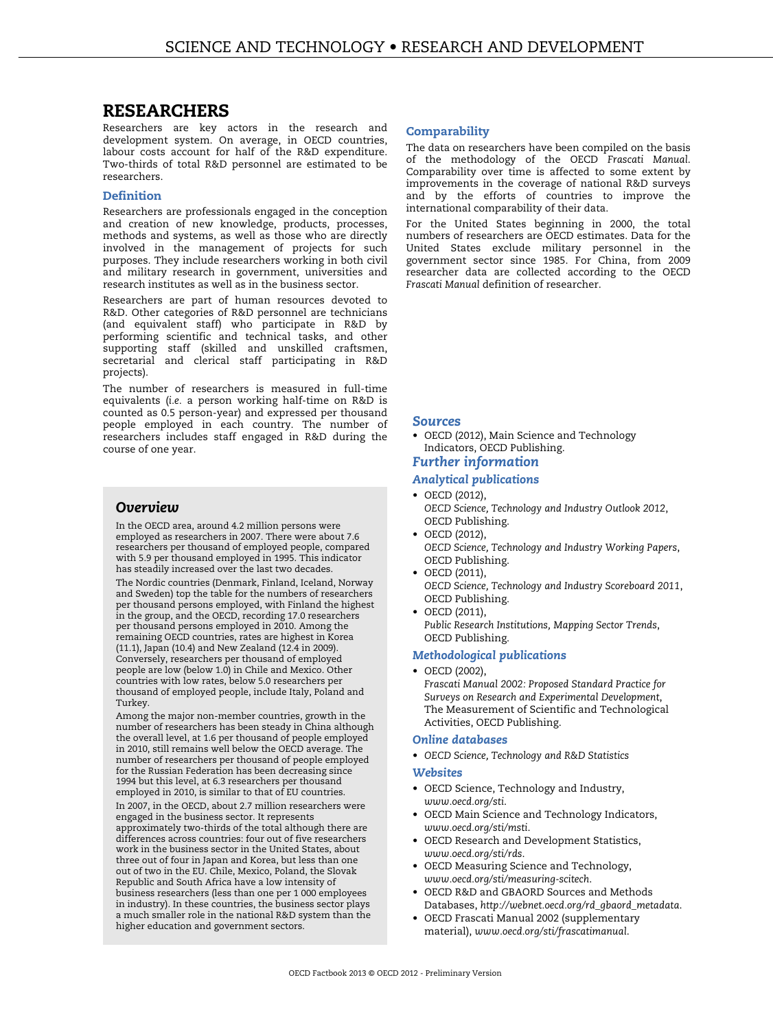# <span id="page-3-0"></span>RESEARCHERS

Researchers are key actors in the research and development system. On average, in OECD countries, labour costs account for half of the R&D expenditure. Two-thirds of total R&D personnel are estimated to be researchers.

#### **Definition**

Researchers are professionals engaged in the conception and creation of new knowledge, products, processes, methods and systems, as well as those who are directly involved in the management of projects for such purposes. They include researchers working in both civil and military research in government, universities and research institutes as well as in the business sector.

Researchers are part of human resources devoted to R&D. Other categories of R&D personnel are technicians (and equivalent staff) who participate in R&D by performing scientific and technical tasks, and other supporting staff (skilled and unskilled craftsmen, secretarial and clerical staff participating in R&D projects).

The number of researchers is measured in full-time equivalents (*i.e.* a person working half-time on R&D is counted as 0.5 person-year) and expressed per thousand people employed in each country. The number of researchers includes staff engaged in R&D during the course of one year.

# *Overview*

In the OECD area, around 4.2 million persons were employed as researchers in 2007. There were about 7.6 researchers per thousand of employed people, compared with 5.9 per thousand employed in 1995. This indicator has steadily increased over the last two decades. The Nordic countries (Denmark, Finland, Iceland, Norway and Sweden) top the table for the numbers of researchers per thousand persons employed, with Finland the highest in the group, and the OECD, recording 17.0 researchers per thousand persons employed in 2010. Among the remaining OECD countries, rates are highest in Korea (11.1), Japan (10.4) and New Zealand (12.4 in 2009). Conversely, researchers per thousand of employed people are low (below 1.0) in Chile and Mexico. Other countries with low rates, below 5.0 researchers per thousand of employed people, include Italy, Poland and Turkey.

Among the major non-member countries, growth in the number of researchers has been steady in China although the overall level, at 1.6 per thousand of people employed in 2010, still remains well below the OECD average. The number of researchers per thousand of people employed for the Russian Federation has been decreasing since 1994 but this level, at 6.3 researchers per thousand employed in 2010, is similar to that of EU countries.

In 2007, in the OECD, about 2.7 million researchers were engaged in the business sector. It represents approximately two-thirds of the total although there are differences across countries: four out of five researchers work in the business sector in the United States, about three out of four in Japan and Korea, but less than one out of two in the EU. Chile, Mexico, Poland, the Slovak Republic and South Africa have a low intensity of business researchers (less than one per 1 000 employees in industry). In these countries, the business sector plays a much smaller role in the national R&D system than the higher education and government sectors.

### **Comparability**

The data on researchers have been compiled on the basis of the methodology of the OECD *Frascati Manual*. Comparability over time is affected to some extent by improvements in the coverage of national R&D surveys and by the efforts of countries to improve the international comparability of their data.

For the United States beginning in 2000, the total numbers of researchers are OECD estimates. Data for the United States exclude military personnel in the government sector since 1985. For China, from 2009 researcher data are collected according to the OECD *Frascati Manual* definition of researcher.

#### *Sources*

• OECD (2012), Main Science and Technology Indicators, OECD Publishing.

# *Further information*

# *Analytical publications*

- OECD (2012), *OECD Science, Technology and Industry Outlook 2012*, OECD Publishing.
- OECD (2012), *OECD Science, Technology and Industry Working Papers*,
- OECD Publishing.
- OECD (2011),
- *OECD Science, Technology and Industry Scoreboard 2011*, OECD Publishing.
- OECD (2011),

*Public Research Institutions, Mapping Sector Trends*, OECD Publishing.

#### *Methodological publications*

• OECD (2002),

*Frascati Manual 2002: Proposed Standard Practice for Surveys on Research and Experimental Development*, The Measurement of Scientific and Technological Activities, OECD Publishing.

#### *Online databases*

• *OECD Science, Technology and R&D Statistics*

- OECD Science, Technology and Industry, *www.oecd.org/sti*.
- OECD Main Science and Technology Indicators, *www.oecd.org/sti/msti*.
- OECD Research and Development Statistics, *www.oecd.org/sti/rds*.
- OECD Measuring Science and Technology, *www.oecd.org/sti/measuring-scitech*.
- OECD R&D and GBAORD Sources and Methods Databases, *http://webnet.oecd.org/rd\_gbaord\_metadata*.
- OECD Frascati Manual 2002 (supplementary material), *www.oecd.org/sti/frascatimanual*.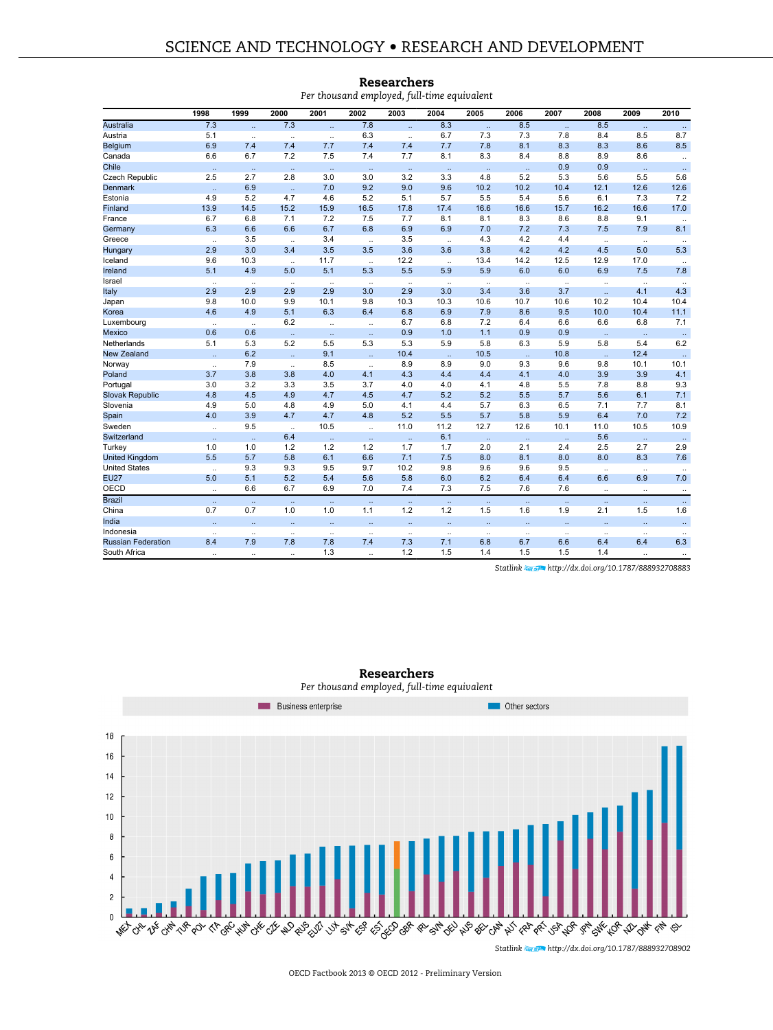|                           |           |                      |                      |                      |                      | ر ,                  |                      |                      |                      |                      |                      |                             |                      |
|---------------------------|-----------|----------------------|----------------------|----------------------|----------------------|----------------------|----------------------|----------------------|----------------------|----------------------|----------------------|-----------------------------|----------------------|
|                           | 1998      | 1999                 | 2000                 | 2001                 | 2002                 | 2003                 | 2004                 | 2005                 | 2006                 | 2007                 | 2008                 | 2009                        | 2010                 |
| Australia                 | 7.3       | u.                   | 7.3                  | u.                   | 7.8                  | ü.                   | 8.3                  | u,                   | 8.5                  | u,                   | 8.5                  | $\ldots$                    | $\ldots$             |
| Austria                   | 5.1       | $\ddot{\phantom{a}}$ | $\ddot{\phantom{a}}$ | $\ddot{\phantom{a}}$ | 6.3                  | $\ddot{\phantom{a}}$ | 6.7                  | 7.3                  | 7.3                  | 7.8                  | 8.4                  | 8.5                         | 8.7                  |
| Belgium                   | 6.9       | 7.4                  | 7.4                  | 7.7                  | 7.4                  | 7.4                  | 7.7                  | 7.8                  | 8.1                  | 8.3                  | 8.3                  | 8.6                         | 8.5                  |
| Canada                    | 6.6       | 6.7                  | 7.2                  | 7.5                  | 7.4                  | 7.7                  | 8.1                  | 8.3                  | 8.4                  | 8.8                  | 8.9                  | 8.6                         | $\ldots$             |
| Chile                     | $\ddotsc$ | $\ddotsc$            | $\ddotsc$            | $\ddotsc$            | ä,                   | $\ddotsc$            | $\sim$               | $\sim$               |                      | 0.9                  | 0.9                  | $\sim$                      | $\ldots$             |
| Czech Republic            | 2.5       | 2.7                  | 2.8                  | 3.0                  | 3.0                  | 3.2                  | 3.3                  | 4.8                  | 5.2                  | 5.3                  | 5.6                  | 5.5                         | 5.6                  |
| <b>Denmark</b>            | $\sim$    | 6.9                  | ü.                   | 7.0                  | 9.2                  | 9.0                  | 9.6                  | 10.2                 | 10.2                 | 10.4                 | 12.1                 | 12.6                        | 12.6                 |
| Estonia                   | 4.9       | 5.2                  | 4.7                  | 4.6                  | 5.2                  | 5.1                  | 5.7                  | 5.5                  | 5.4                  | 5.6                  | 6.1                  | 7.3                         | 7.2                  |
| Finland                   | 13.9      | 14.5                 | 15.2                 | 15.9                 | 16.5                 | 17.8                 | 17.4                 | 16.6                 | 16.6                 | 15.7                 | 16.2                 | 16.6                        | 17.0                 |
| France                    | 6.7       | 6.8                  | 7.1                  | 7.2                  | 7.5                  | 7.7                  | 8.1                  | 8.1                  | 8.3                  | 8.6                  | 8.8                  | 9.1                         | $\ldots$             |
| Germany                   | 6.3       | 6.6                  | 6.6                  | 6.7                  | 6.8                  | 6.9                  | 6.9                  | 7.0                  | 7.2                  | 7.3                  | 7.5                  | 7.9                         | 8.1                  |
| Greece                    | $\ddotsc$ | 3.5                  | $\ddotsc$            | 3.4                  | $\ddot{\phantom{a}}$ | 3.5                  | $\ddotsc$            | 4.3                  | 4.2                  | 4.4                  | $\ddotsc$            | $\ldots$                    | $\ddots$             |
| Hungary                   | 2.9       | 3.0                  | 3.4                  | 3.5                  | 3.5                  | 3.6                  | 3.6                  | 3.8                  | 4.2                  | 4.2                  | 4.5                  | 5.0                         | 5.3                  |
| Iceland                   | 9.6       | 10.3                 | $\ddot{\phantom{a}}$ | 11.7                 | t.                   | 12.2                 | $\ddotsc$            | 13.4                 | 14.2                 | 12.5                 | 12.9                 | 17.0                        | $\ddotsc$            |
| Ireland                   | 5.1       | 4.9                  | 5.0                  | 5.1                  | 5.3                  | 5.5                  | 5.9                  | 5.9                  | 6.0                  | 6.0                  | 6.9                  | 7.5                         | 7.8                  |
| Israel                    | $\ddotsc$ | $\ldots$             | $\ddot{\phantom{0}}$ | $\ddotsc$            | $\ddotsc$            | $\ddot{\phantom{a}}$ | $\ddot{\phantom{0}}$ | $\ddot{\phantom{a}}$ | $\ddot{\phantom{0}}$ | $\ldots$             |                      | $\ddotsc$                   |                      |
| Italy                     | 2.9       | 2.9                  | 2.9                  | 2.9                  | 3.0                  | 2.9                  | 3.0                  | 3.4                  | 3.6                  | 3.7                  | u,                   | 4.1                         | 4.3                  |
| Japan                     | 9.8       | 10.0                 | 9.9                  | 10.1                 | 9.8                  | 10.3                 | 10.3                 | 10.6                 | 10.7                 | 10.6                 | 10.2                 | 10.4                        | 10.4                 |
| Korea                     | 4.6       | 4.9                  | 5.1                  | 6.3                  | 6.4                  | 6.8                  | 6.9                  | 7.9                  | 8.6                  | 9.5                  | 10.0                 | 10.4                        | 11.1                 |
| Luxembourg                | $\ldots$  | $\ddotsc$            | 6.2                  | $\ddotsc$            | $\ddot{\phantom{a}}$ | 6.7                  | 6.8                  | 7.2                  | 6.4                  | 6.6                  | 6.6                  | 6.8                         | 7.1                  |
| Mexico                    | 0.6       | 0.6                  | $\ddotsc$            | $\ddotsc$            | ä,                   | 0.9                  | 1.0                  | 1.1                  | 0.9                  | 0.9                  |                      |                             |                      |
| Netherlands               | 5.1       | 5.3                  | 5.2                  | 5.5                  | 5.3                  | 5.3                  | 5.9                  | 5.8                  | 6.3                  | 5.9                  | 5.8                  | 5.4                         | 6.2                  |
| <b>New Zealand</b>        | $\ddotsc$ | 6.2                  | $\ddotsc$            | 9.1                  | ä.                   | 10.4                 | $\ddotsc$            | 10.5                 | $\ddotsc$            | 10.8                 | $\ddot{\phantom{0}}$ | 12.4                        | $\ldots$             |
| Norway                    | $\ddotsc$ | 7.9                  | $\ddot{\phantom{a}}$ | 8.5                  | $\ddot{\phantom{a}}$ | 8.9                  | 8.9                  | 9.0                  | 9.3                  | 9.6                  | 9.8                  | 10.1                        | 10.1                 |
| Poland                    | 3.7       | 3.8                  | 3.8                  | 4.0                  | 4.1                  | 4.3                  | 4.4                  | 4.4                  | 4.1                  | 4.0                  | 3.9                  | 3.9                         | 4.1                  |
| Portugal                  | 3.0       | 3.2                  | 3.3                  | 3.5                  | 3.7                  | 4.0                  | 4.0                  | 4.1                  | 4.8                  | 5.5                  | 7.8                  | 8.8                         | 9.3                  |
| <b>Slovak Republic</b>    | 4.8       | 4.5                  | 4.9                  | 4.7                  | 4.5                  | 4.7                  | 5.2                  | 5.2                  | 5.5                  | 5.7                  | 5.6                  | 6.1                         | 7.1                  |
| Slovenia                  | 4.9       | 5.0                  | 4.8                  | 4.9                  | 5.0                  | 4.1                  | 4.4                  | 5.7                  | 6.3                  | 6.5                  | 7.1                  | 7.7                         | 8.1                  |
| Spain                     | 4.0       | 3.9                  | 4.7                  | 4.7                  | 4.8                  | 5.2                  | 5.5                  | 5.7                  | 5.8                  | 5.9                  | 6.4                  | 7.0                         | 7.2                  |
| Sweden                    | $\ddotsc$ | 9.5                  | $\ddotsc$            | 10.5                 | $\ddot{\phantom{a}}$ | 11.0                 | 11.2                 | 12.7                 | 12.6                 | 10.1                 | 11.0                 | 10.5                        | 10.9                 |
| Switzerland               | $\ldots$  | $\mathbb{Z}^2$       | 6.4                  | $\mathbb{Z}^2$       | ÷.                   | u,                   | 6.1                  | $\ldots$             | $\ddot{\phantom{0}}$ | $\ddotsc$            | 5.6                  | $\mathcal{L}_{\mathcal{A}}$ | $\ldots$             |
| Turkey                    | 1.0       | 1.0                  | 1.2                  | 1.2                  | 1.2                  | 1.7                  | 1.7                  | 2.0                  | 2.1                  | 2.4                  | 2.5                  | 2.7                         | 2.9                  |
| <b>United Kingdom</b>     | 5.5       | 5.7                  | 5.8                  | 6.1                  | 6.6                  | 7.1                  | 7.5                  | 8.0                  | 8.1                  | 8.0                  | 8.0                  | 8.3                         | 7.6                  |
| <b>United States</b>      | $\ddotsc$ | 9.3                  | 9.3                  | 9.5                  | 9.7                  | 10.2                 | 9.8                  | 9.6                  | 9.6                  | 9.5                  | $\ddot{\phantom{a}}$ | $\ddotsc$                   | $\ddot{\phantom{a}}$ |
| <b>EU27</b>               | 5.0       | 5.1                  | 5.2                  | 5.4                  | 5.6                  | 5.8                  | 6.0                  | 6.2                  | 6.4                  | 6.4                  | 6.6                  | 6.9                         | 7.0                  |
| OECD                      | $\ddotsc$ | 6.6                  | 6.7                  | 6.9                  | 7.0                  | 7.4                  | 7.3                  | 7.5                  | 7.6                  | 7.6                  | $\ldots$             | $\ldots$                    | $\ldots$             |
| <b>Brazil</b>             | $\ldots$  | $\cdot$              | $\ddotsc$            | $\ddotsc$            | ц,                   | $\ddotsc$            | $\ddot{\phantom{1}}$ | ÷.                   | $\cdot$              | $\ldots$             |                      | $\cdot$                     | $\ldots$             |
| China                     | 0.7       | 0.7                  | 1.0                  | 1.0                  | 1.1                  | 1.2                  | 1.2                  | 1.5                  | 1.6                  | 1.9                  | 2.1                  | 1.5                         | 1.6                  |
| India                     | $\ddotsc$ | u.                   | $\ddotsc$            | u.                   | $\ddot{\phantom{0}}$ | ü.                   | u,                   | u.                   | $\ddot{\phantom{a}}$ | $\ddot{\phantom{a}}$ | $\ddot{\phantom{a}}$ | $\ddot{\phantom{0}}$        | $\ldots$             |
| Indonesia                 | $\ldots$  | $\ddotsc$            | $\ddotsc$            | $\ddotsc$            | $\ddot{\phantom{0}}$ | $\ddotsc$            | $\ddotsc$            | $\ldots$             | $\ddotsc$            | $\ddotsc$            | $\ddotsc$            | $\ddot{\phantom{a}}$        | $\cdot$              |
| <b>Russian Federation</b> | 8.4       | 7.9                  | 7.8                  | 7.8                  | 7.4                  | 7.3                  | 7.1                  | 6.8                  | 6.7                  | 6.6                  | 6.4                  | 6.4                         | 6.3                  |
| South Africa              | $\ddotsc$ | $\ddotsc$            | $\ddotsc$            | 1.3                  | $\ddotsc$            | 1.2                  | 1.5                  | 1.4                  | 1.5                  | 1.5                  | 1.4                  | $\ddotsc$                   | $\ldots$             |

| Researchers                                 |  |  |  |  |  |  |  |  |  |  |  |
|---------------------------------------------|--|--|--|--|--|--|--|--|--|--|--|
| Per thousand employed, full-time equivalent |  |  |  |  |  |  |  |  |  |  |  |

*Statlink http://dx.doi.org/10.1787/888932708883*



Researchers

*Statlink http://dx.doi.org/10.1787/888932708902*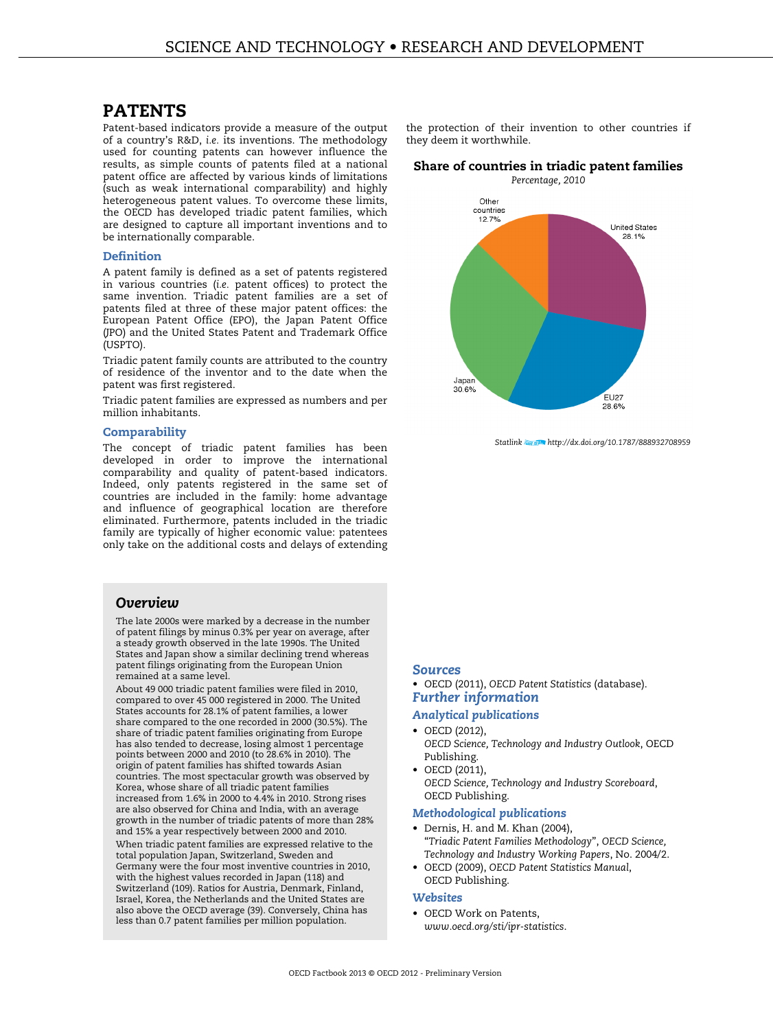# <span id="page-5-0"></span>PATENTS

Patent-based indicators provide a measure of the output of a country's R&D, *i.e.* its inventions. The methodology used for counting patents can however influence the results, as simple counts of patents filed at a national patent office are affected by various kinds of limitations (such as weak international comparability) and highly heterogeneous patent values. To overcome these limits, the OECD has developed triadic patent families, which are designed to capture all important inventions and to be internationally comparable.

#### Definition

A patent family is defined as a set of patents registered in various countries (*i.e.* patent offices) to protect the same invention. Triadic patent families are a set of patents filed at three of these major patent offices: the European Patent Office (EPO), the Japan Patent Office (JPO) and the United States Patent and Trademark Office (USPTO).

Triadic patent family counts are attributed to the country of residence of the inventor and to the date when the patent was first registered.

Triadic patent families are expressed as numbers and per million inhabitants.

#### **Comparability**

The concept of triadic patent families has been developed in order to improve the international comparability and quality of patent-based indicators. Indeed, only patents registered in the same set of countries are included in the family: home advantage and influence of geographical location are therefore eliminated. Furthermore, patents included in the triadic family are typically of higher economic value: patentees only take on the additional costs and delays of extending

### *Overview*

The late 2000s were marked by a decrease in the number of patent filings by minus 0.3% per year on average, after a steady growth observed in the late 1990s. The United States and Japan show a similar declining trend whereas patent filings originating from the European Union remained at a same level.

About 49 000 triadic patent families were filed in 2010, compared to over 45 000 registered in 2000. The United States accounts for 28.1% of patent families, a lower share compared to the one recorded in 2000 (30.5%). The share of triadic patent families originating from Europe has also tended to decrease, losing almost 1 percentage points between 2000 and 2010 (to 28.6% in 2010). The origin of patent families has shifted towards Asian countries. The most spectacular growth was observed by Korea, whose share of all triadic patent families increased from 1.6% in 2000 to 4.4% in 2010. Strong rises are also observed for China and India, with an average growth in the number of triadic patents of more than 28% and 15% a year respectively between 2000 and 2010.

When triadic patent families are expressed relative to the total population Japan, Switzerland, Sweden and Germany were the four most inventive countries in 2010, with the highest values recorded in Japan (118) and Switzerland (109). Ratios for Austria, Denmark, Finland, Israel, Korea, the Netherlands and the United States are also above the OECD average (39). Conversely, China has less than 0.7 patent families per million population.

the protection of their invention to other countries if they deem it worthwhile.

### Share of countries in triadic patent families



*Statlink http://dx.doi.org/10.1787/888932708959*

#### *Sources*

• OECD (2011), *OECD Patent Statistics* (database). *Further information*

# *Analytical publications*

- OECD (2012), *OECD Science, Technology and Industry Outlook*, OECD Publishing.
- OECD (2011), *OECD Science, Technology and Industry Scoreboard*, OECD Publishing.

#### *Methodological publications*

- Dernis, H. and M. Khan (2004), "*Triadic Patent Families Methodology*", *OECD Science, Technology and Industry Working Papers*, No. 2004/2.
- OECD (2009), *OECD Patent Statistics Manual*, OECD Publishing.

#### *Websites*

• OECD Work on Patents, *www.oecd.org/sti/ipr-statistics*.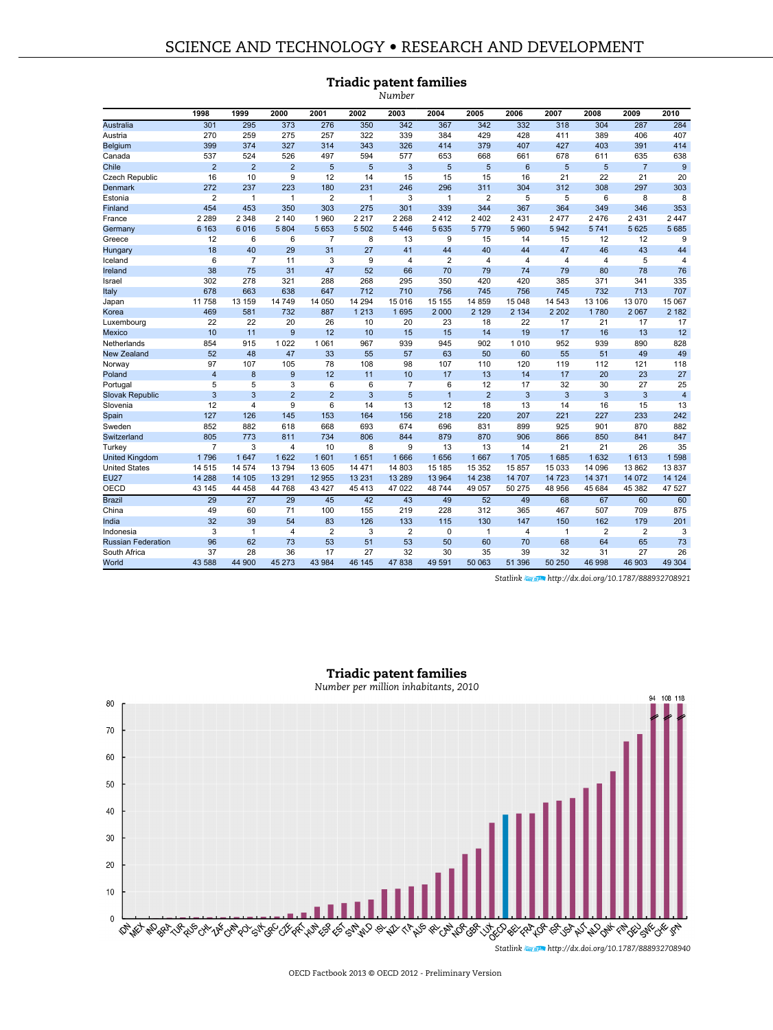|  |  | <b>Triadic patent families</b> |
|--|--|--------------------------------|
|--|--|--------------------------------|

*Number*

|                           | 1998           | 1999           | 2000           | 2001           | 2002         | 2003           | 2004           | 2005           | 2006           | 2007           | 2008           | 2009           | 2010                    |
|---------------------------|----------------|----------------|----------------|----------------|--------------|----------------|----------------|----------------|----------------|----------------|----------------|----------------|-------------------------|
| Australia                 | 301            | 295            | 373            | 276            | 350          | 342            | 367            | 342            | 332            | 318            | 304            | 287            | 284                     |
| Austria                   | 270            | 259            | 275            | 257            | 322          | 339            | 384            | 429            | 428            | 411            | 389            | 406            | 407                     |
| Belgium                   | 399            | 374            | 327            | 314            | 343          | 326            | 414            | 379            | 407            | 427            | 403            | 391            | 414                     |
| Canada                    | 537            | 524            | 526            | 497            | 594          | 577            | 653            | 668            | 661            | 678            | 611            | 635            | 638                     |
| Chile                     | $\overline{2}$ | $\overline{2}$ | $\overline{2}$ | 5              | 5            | 3              | 5              | 5              | 6              | 5              | 5              | $\overline{7}$ | 9                       |
| Czech Republic            | 16             | 10             | 9              | 12             | 14           | 15             | 15             | 15             | 16             | 21             | 22             | 21             | 20                      |
| Denmark                   | 272            | 237            | 223            | 180            | 231          | 246            | 296            | 311            | 304            | 312            | 308            | 297            | 303                     |
| Estonia                   | $\overline{2}$ | $\mathbf{1}$   | 1              | $\overline{2}$ | $\mathbf{1}$ | 3              | $\overline{1}$ | $\overline{2}$ | 5              | 5              | 6              | 8              | 8                       |
| Finland                   | 454            | 453            | 350            | 303            | 275          | 301            | 339            | 344            | 367            | 364            | 349            | 346            | 353                     |
| France                    | 2 2 8 9        | 2 3 4 8        | 2 140          | 1960           | 2 2 1 7      | 2 2 6 8        | 2412           | 2 4 0 2        | 2 4 3 1        | 2477           | 2476           | 2 4 3 1        | 2447                    |
| Germany                   | 6 1 6 3        | 6016           | 5 8 0 4        | 5653           | 5 5 0 2      | 5446           | 5635           | 5779           | 5960           | 5942           | 5741           | 5 6 2 5        | 5685                    |
| Greece                    | 12             | 6              | 6              | $\overline{7}$ | 8            | 13             | 9              | 15             | 14             | 15             | 12             | 12             | 9                       |
| Hungary                   | 18             | 40             | 29             | 31             | 27           | 41             | 44             | 40             | 44             | 47             | 46             | 43             | 44                      |
| Iceland                   | 6              | $\overline{7}$ | 11             | 3              | 9            | $\overline{4}$ | $\overline{2}$ | $\overline{4}$ | $\overline{4}$ | $\overline{4}$ | $\overline{4}$ | 5              | $\overline{4}$          |
| Ireland                   | 38             | 75             | 31             | 47             | 52           | 66             | 70             | 79             | 74             | 79             | 80             | 78             | 76                      |
| Israel                    | 302            | 278            | 321            | 288            | 268          | 295            | 350            | 420            | 420            | 385            | 371            | 341            | 335                     |
| Italy                     | 678            | 663            | 638            | 647            | 712          | 710            | 756            | 745            | 756            | 745            | 732            | 713            | 707                     |
| Japan                     | 11 758         | 13 159         | 14 749         | 14 050         | 14 294       | 15 016         | 15 155         | 14 859         | 15 048         | 14 543         | 13 106         | 13 070         | 15 067                  |
| Korea                     | 469            | 581            | 732            | 887            | 1 2 1 3      | 1695           | 2000           | 2 1 2 9        | 2 1 3 4        | 2 2 0 2        | 1780           | 2 0 6 7        | 2 1 8 2                 |
| Luxembourg                | 22             | 22             | 20             | 26             | 10           | 20             | 23             | 18             | 22             | 17             | 21             | 17             | 17                      |
| Mexico                    | 10             | 11             | 9              | 12             | 10           | 15             | 15             | 14             | 19             | 17             | 16             | 13             | 12                      |
| Netherlands               | 854            | 915            | 1 0 2 2        | 1 0 6 1        | 967          | 939            | 945            | 902            | 1010           | 952            | 939            | 890            | 828                     |
| New Zealand               | 52             | 48             | 47             | 33             | 55           | 57             | 63             | 50             | 60             | 55             | 51             | 49             | 49                      |
| Norway                    | 97             | 107            | 105            | 78             | 108          | 98             | 107            | 110            | 120            | 119            | 112            | 121            | 118                     |
| Poland                    | 4              | 8              | 9              | 12             | 11           | 10             | 17             | 13             | 14             | 17             | 20             | 23             | 27                      |
| Portugal                  | 5              | 5              | 3              | 6              | 6            | $\overline{7}$ | 6              | 12             | 17             | 32             | 30             | 27             | 25                      |
| <b>Slovak Republic</b>    | 3              | 3              | $\overline{2}$ | $\overline{2}$ | 3            | 5              | $\overline{1}$ | $\overline{2}$ | 3              | 3              | 3              | 3              | $\overline{\mathbf{4}}$ |
| Slovenia                  | 12             | 4              | 9              | 6              | 14           | 13             | 12             | 18             | 13             | 14             | 16             | 15             | 13                      |
| Spain                     | 127            | 126            | 145            | 153            | 164          | 156            | 218            | 220            | 207            | 221            | 227            | 233            | 242                     |
| Sweden                    | 852            | 882            | 618            | 668            | 693          | 674            | 696            | 831            | 899            | 925            | 901            | 870            | 882                     |
| Switzerland               | 805            | 773            | 811            | 734            | 806          | 844            | 879            | 870            | 906            | 866            | 850            | 841            | 847                     |
| Turkey                    | $\overline{7}$ | 3              | 4              | 10             | 8            | 9              | 13             | 13             | 14             | 21             | 21             | 26             | 35                      |
| <b>United Kingdom</b>     | 1796           | 1 6 4 7        | 1 6 2 2        | 1601           | 1651         | 1 6 6 6        | 1656           | 1 6 6 7        | 1705           | 1685           | 1 6 3 2        | 1613           | 1598                    |
| <b>United States</b>      | 14 515         | 14 574         | 13794          | 13 605         | 14 471       | 14 803         | 15 185         | 15 352         | 15 857         | 15 033         | 14 096         | 13862          | 13837                   |
| <b>EU27</b>               | 14 288         | 14 105         | 13 29 1        | 12 955         | 13 2 31      | 13 289         | 13 964         | 14 238         | 14 707         | 14 723         | 14 371         | 14 072         | 14 124                  |
| OECD                      | 43 145         | 44 458         | 44 768         | 43 427         | 45413        | 47 022         | 48 744         | 49 057         | 50 275         | 48 956         | 45 684         | 45 382         | 47 527                  |
| <b>Brazil</b>             | 29             | 27             | 29             | 45             | 42           | 43             | 49             | 52             | 49             | 68             | 67             | 60             | 60                      |
| China                     | 49             | 60             | 71             | 100            | 155          | 219            | 228            | 312            | 365            | 467            | 507            | 709            | 875                     |
| India                     | 32             | 39             | 54             | 83             | 126          | 133            | 115            | 130            | 147            | 150            | 162            | 179            | 201                     |
| Indonesia                 | 3              | $\mathbf{1}$   | 4              | $\overline{2}$ | 3            | $\overline{2}$ | $\mathbf 0$    | $\mathbf{1}$   | $\overline{4}$ | $\mathbf{1}$   | $\overline{2}$ | $\overline{2}$ | 3                       |
| <b>Russian Federation</b> | 96             | 62             | 73             | 53             | 51           | 53             | 50             | 60             | 70             | 68             | 64             | 65             | 73                      |
| South Africa              | 37             | 28             | 36             | 17             | 27           | 32             | 30             | 35             | 39             | 32             | 31             | 27             | 26                      |
| World                     | 43 588         | 44 900         | 45 273         | 43 984         | 46 145       | 47838          | 49 591         | 50 063         | 51 396         | 50 250         | 46 998         | 46 903         | 49 304                  |

*Statlink http://dx.doi.org/10.1787/888932708921*



Triadic patent families

*Number per million inhabitants, 2010*

*Statlink http://dx.doi.org/10.1787/888932708940*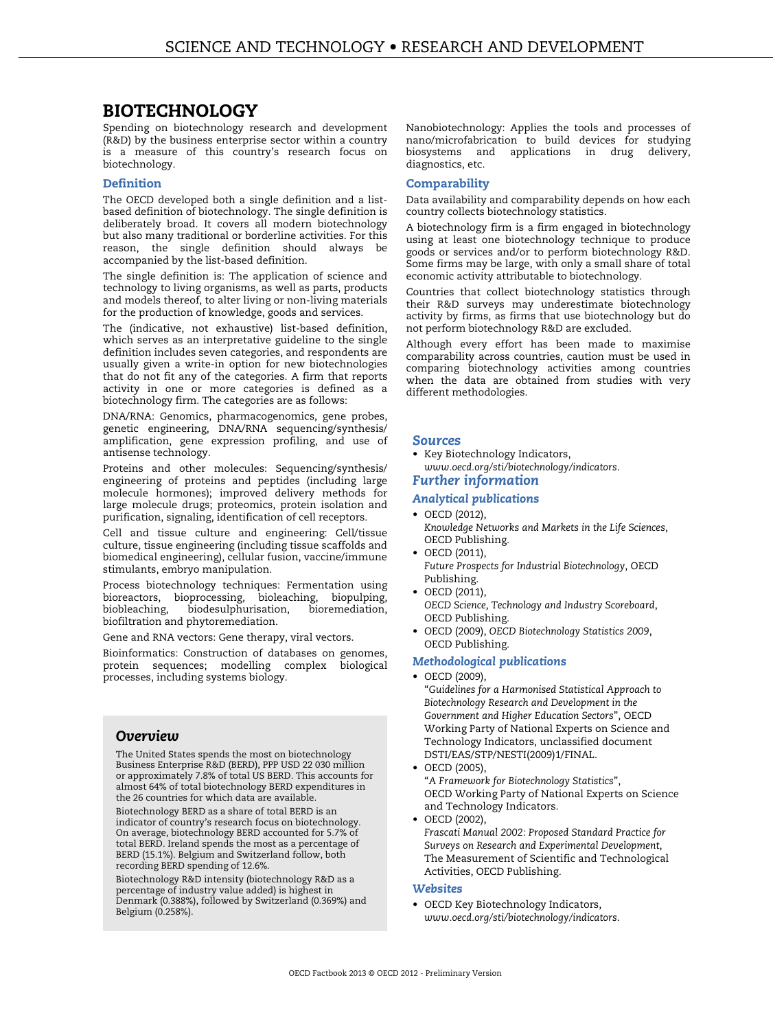# <span id="page-7-0"></span>BIOTECHNOLOGY

Spending on biotechnology research and development (R&D) by the business enterprise sector within a country is a measure of this country's research focus on biotechnology.

#### Definition

The OECD developed both a single definition and a listbased definition of biotechnology. The single definition is deliberately broad. It covers all modern biotechnology but also many traditional or borderline activities. For this reason, the single definition should always be accompanied by the list-based definition.

The single definition is: The application of science and technology to living organisms, as well as parts, products and models thereof, to alter living or non-living materials for the production of knowledge, goods and services.

The (indicative, not exhaustive) list-based definition, which serves as an interpretative guideline to the single definition includes seven categories, and respondents are usually given a write-in option for new biotechnologies that do not fit any of the categories. A firm that reports activity in one or more categories is defined as a biotechnology firm. The categories are as follows:

DNA/RNA: Genomics, pharmacogenomics, gene probes, genetic engineering, DNA/RNA sequencing/synthesis/ amplification, gene expression profiling, and use of antisense technology.

Proteins and other molecules: Sequencing/synthesis/ engineering of proteins and peptides (including large molecule hormones); improved delivery methods for large molecule drugs; proteomics, protein isolation and purification, signaling, identification of cell receptors.

Cell and tissue culture and engineering: Cell/tissue culture, tissue engineering (including tissue scaffolds and biomedical engineering), cellular fusion, vaccine/immune stimulants, embryo manipulation.

Process biotechnology techniques: Fermentation using bioreactors, bioprocessing, bioleaching, biopulping, biobleaching, biodesulphurisation, bioremediation, biofiltration and phytoremediation.

Gene and RNA vectors: Gene therapy, viral vectors.

Bioinformatics: Construction of databases on genomes, protein sequences; modelling complex biological processes, including systems biology.

# *Overview*

The United States spends the most on biotechnology Business Enterprise R&D (BERD), PPP USD 22 030 million or approximately 7.8% of total US BERD. This accounts for almost 64% of total biotechnology BERD expenditures in the 26 countries for which data are available. Biotechnology BERD as a share of total BERD is an indicator of country's research focus on biotechnology. On average, biotechnology BERD accounted for 5.7% of total BERD. Ireland spends the most as a percentage of BERD (15.1%). Belgium and Switzerland follow, both recording BERD spending of 12.6%.

Biotechnology R&D intensity (biotechnology R&D as a percentage of industry value added) is highest in Denmark (0.388%), followed by Switzerland (0.369%) and Belgium (0.258%).

Nanobiotechnology: Applies the tools and processes of nano/microfabrication to build devices for studying biosystems and applications in drug delivery, diagnostics, etc.

#### **Comparability**

Data availability and comparability depends on how each country collects biotechnology statistics.

A biotechnology firm is a firm engaged in biotechnology using at least one biotechnology technique to produce goods or services and/or to perform biotechnology R&D. Some firms may be large, with only a small share of total economic activity attributable to biotechnology.

Countries that collect biotechnology statistics through their R&D surveys may underestimate biotechnology activity by firms, as firms that use biotechnology but do not perform biotechnology R&D are excluded.

Although every effort has been made to maximise comparability across countries, caution must be used in comparing biotechnology activities among countries when the data are obtained from studies with very different methodologies.

#### *Sources*

• Key Biotechnology Indicators, *www.oecd.org/sti/biotechnology/indicators*.

### *Further information*

#### *Analytical publications*

- OECD (2012), *Knowledge Networks and Markets in the Life Sciences*, OECD Publishing.
- OECD (2011),
- *Future Prospects for Industrial Biotechnology*, OECD Publishing.
- OECD (2011),
- *OECD Science, Technology and Industry Scoreboard*, OECD Publishing.
- OECD (2009), *OECD Biotechnology Statistics 2009*, OECD Publishing.

#### *Methodological publications*

• OECD (2009),

"*Guidelines for a Harmonised Statistical Approach to Biotechnology Research and Development in the Government and Higher Education Sectors*", OECD Working Party of National Experts on Science and Technology Indicators, unclassified document DSTI/EAS/STP/NESTI(2009)1/FINAL.

• OECD (2005), "*A Framework for Biotechnology Statistics*", OECD Working Party of National Experts on Science and Technology Indicators.

• OECD (2002), *Frascati Manual 2002: Proposed Standard Practice for Surveys on Research and Experimental Development*, The Measurement of Scientific and Technological Activities, OECD Publishing.

#### *Websites*

• OECD Key Biotechnology Indicators, *www.oecd.org/sti/biotechnology/indicators*.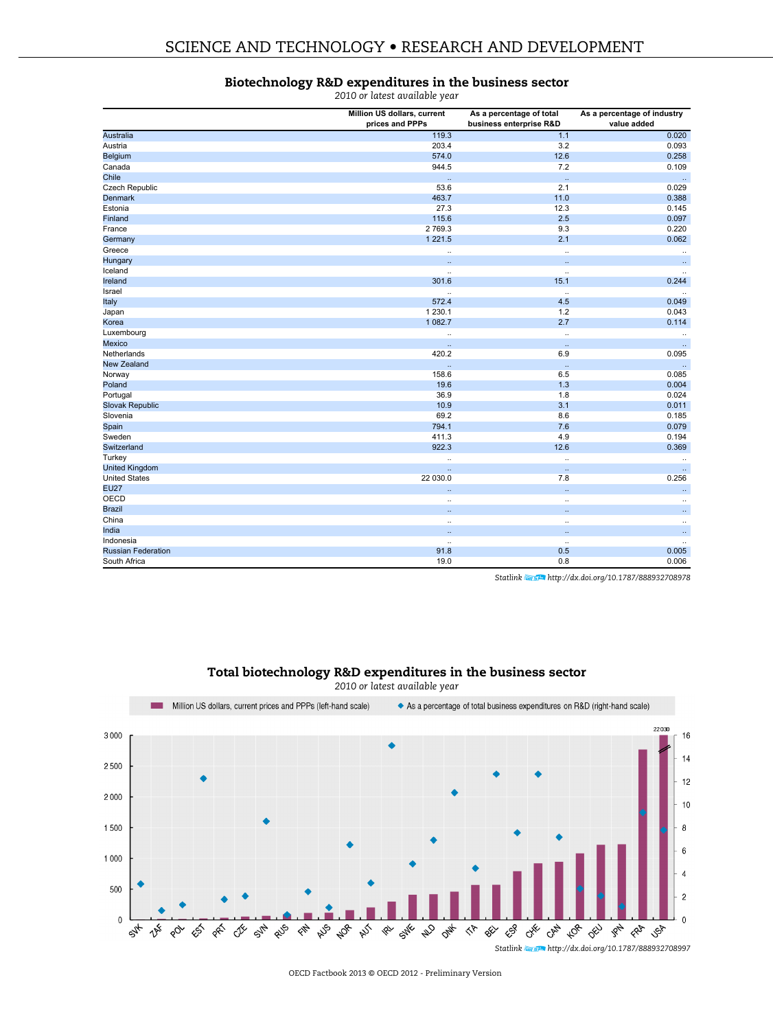### Biotechnology R&D expenditures in the business sector

*2010 or latest available year*

|                           | Million US dollars, current | As a percentage of total | As a percentage of industry |
|---------------------------|-----------------------------|--------------------------|-----------------------------|
|                           | prices and PPPs             | business enterprise R&D  | value added                 |
| Australia                 | 119.3                       | 1.1                      | 0.020                       |
| Austria                   | 203.4                       | 3.2                      | 0.093                       |
| <b>Belgium</b>            | 574.0                       | 12.6                     | 0.258                       |
| Canada                    | 944.5                       | 7.2                      | 0.109                       |
| Chile                     | $\ddotsc$                   | $\ddotsc$                | $\ldots$                    |
| Czech Republic            | 53.6                        | 2.1                      | 0.029                       |
| <b>Denmark</b>            | 463.7                       | 11.0                     | 0.388                       |
| Estonia                   | 27.3                        | 12.3                     | 0.145                       |
| Finland                   | 115.6                       | 2.5                      | 0.097                       |
| France                    | 2769.3                      | 9.3                      | 0.220                       |
| Germany                   | 1 2 2 1 .5                  | 2.1                      | 0.062                       |
| Greece                    | $\ddot{\phantom{a}}$        | $\ddotsc$                | $\ldots$                    |
| Hungary                   | $\ddot{\phantom{1}}$        | $\ddotsc$                | $\mathbb{Z}^2$              |
| Iceland                   | $\ddotsc$                   | $\ddotsc$                | $\ldots$                    |
| Ireland                   | 301.6                       | 15.1                     | 0.244                       |
| Israel                    | $\ddotsc$                   | $\ddotsc$                | $\ldots$                    |
| Italy                     | 572.4                       | 4.5                      | 0.049                       |
| Japan                     | 1 2 3 0.1                   | 1.2                      | 0.043                       |
| Korea                     | 1 082.7                     | 2.7                      | 0.114                       |
| Luxembourg                | $\ddot{\phantom{a}}$        | $\ddotsc$                | $\ddotsc$                   |
| Mexico                    | $\ddotsc$                   | Ţ,                       | $\ldots$                    |
| Netherlands               | 420.2                       | 6.9                      | 0.095                       |
| <b>New Zealand</b>        | $\ddotsc$                   | $\ldots$                 | $\ldots$                    |
| Norway                    | 158.6                       | 6.5                      | 0.085                       |
| Poland                    | 19.6                        | 1.3                      | 0.004                       |
| Portugal                  | 36.9                        | 1.8                      | 0.024                       |
| <b>Slovak Republic</b>    | 10.9                        | 3.1                      | 0.011                       |
| Slovenia                  | 69.2                        | 8.6                      | 0.185                       |
| Spain                     | 794.1                       | 7.6                      | 0.079                       |
| Sweden                    | 411.3                       | 4.9                      | 0.194                       |
| Switzerland               | 922.3                       | 12.6                     | 0.369                       |
| Turkey                    | $\ddot{\phantom{a}}$        | $\ddotsc$                | $\ddot{\phantom{0}}$        |
| <b>United Kingdom</b>     | $\ddotsc$                   | $\ddotsc$                | $\ddotsc$                   |
| <b>United States</b>      | 22 030.0                    | 7.8                      | 0.256                       |
| <b>EU27</b>               | $\ddotsc$                   | $\ddotsc$                | $\ddotsc$                   |
| OECD                      | $\ddotsc$                   | $\ddot{\phantom{0}}$     | $\ddotsc$                   |
| <b>Brazil</b>             | $\sim$                      | $\ddotsc$                | $\ddotsc$                   |
| China                     | $\ddotsc$                   | $\ddotsc$                | $\ddotsc$                   |
| India                     | ĸ.                          | $\ddotsc$                | $\ddotsc$                   |
| Indonesia                 | $\ldots$                    | $\ddotsc$                | $\ddotsc$                   |
| <b>Russian Federation</b> | 91.8                        | 0.5                      | 0.005                       |
| South Africa              | 19.0                        | 0.8                      | 0.006                       |

*Statlink http://dx.doi.org/10.1787/888932708978*

# Total biotechnology R&D expenditures in the business sector

*2010 or latest available year*

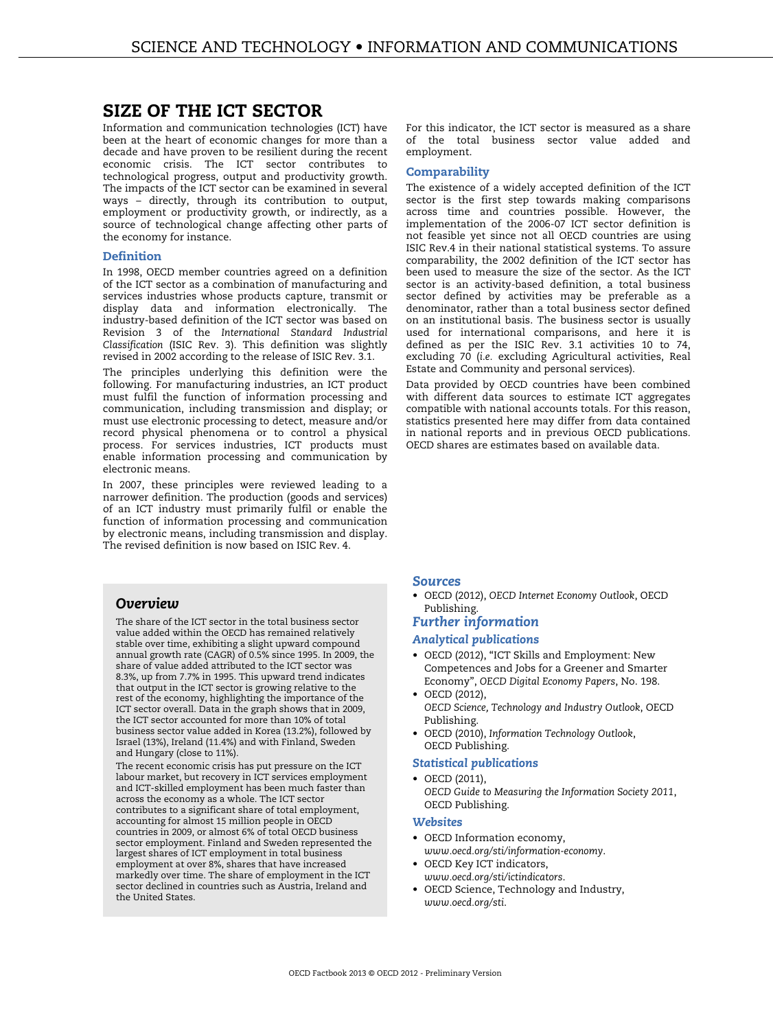# <span id="page-9-0"></span>SIZE OF THE ICT SECTOR

Information and communication technologies (ICT) have been at the heart of economic changes for more than a decade and have proven to be resilient during the recent economic crisis. The ICT sector contributes to technological progress, output and productivity growth. The impacts of the ICT sector can be examined in several ways – directly, through its contribution to output, employment or productivity growth, or indirectly, as a source of technological change affecting other parts of the economy for instance.

#### **Definition**

In 1998, OECD member countries agreed on a definition of the ICT sector as a combination of manufacturing and services industries whose products capture, transmit or display data and information electronically. The industry-based definition of the ICT sector was based on Revision 3 of the *International Standard Industrial Classification* (ISIC Rev. 3). This definition was slightly revised in 2002 according to the release of ISIC Rev. 3.1.

The principles underlying this definition were the following. For manufacturing industries, an ICT product must fulfil the function of information processing and communication, including transmission and display; or must use electronic processing to detect, measure and/or record physical phenomena or to control a physical process. For services industries, ICT products must enable information processing and communication by electronic means.

In 2007, these principles were reviewed leading to a narrower definition. The production (goods and services) of an ICT industry must primarily fulfil or enable the function of information processing and communication by electronic means, including transmission and display. The revised definition is now based on ISIC Rev. 4.

### *Overview*

The share of the ICT sector in the total business sector value added within the OECD has remained relatively stable over time, exhibiting a slight upward compound annual growth rate (CAGR) of 0.5% since 1995. In 2009, the share of value added attributed to the ICT sector was 8.3%, up from 7.7% in 1995. This upward trend indicates that output in the ICT sector is growing relative to the rest of the economy, highlighting the importance of the ICT sector overall. Data in the graph shows that in 2009, the ICT sector accounted for more than 10% of total business sector value added in Korea (13.2%), followed by Israel (13%), Ireland (11.4%) and with Finland, Sweden and Hungary (close to 11%).

The recent economic crisis has put pressure on the ICT labour market, but recovery in ICT services employment and ICT-skilled employment has been much faster than across the economy as a whole. The ICT sector contributes to a significant share of total employment, accounting for almost 15 million people in OECD countries in 2009, or almost 6% of total OECD business sector employment. Finland and Sweden represented the largest shares of ICT employment in total business employment at over 8%, shares that have increased markedly over time. The share of employment in the ICT sector declined in countries such as Austria, Ireland and the United States.

For this indicator, the ICT sector is measured as a share of the total business sector value added and employment.

#### **Comparability**

The existence of a widely accepted definition of the ICT sector is the first step towards making comparisons across time and countries possible. However, the implementation of the 2006-07 ICT sector definition is not feasible yet since not all OECD countries are using ISIC Rev.4 in their national statistical systems. To assure comparability, the 2002 definition of the ICT sector has been used to measure the size of the sector. As the ICT sector is an activity-based definition, a total business sector defined by activities may be preferable as a denominator, rather than a total business sector defined on an institutional basis. The business sector is usually used for international comparisons, and here it is defined as per the ISIC Rev. 3.1 activities 10 to 74, excluding 70 (*i.e.* excluding Agricultural activities, Real Estate and Community and personal services).

Data provided by OECD countries have been combined with different data sources to estimate ICT aggregates compatible with national accounts totals. For this reason, statistics presented here may differ from data contained in national reports and in previous OECD publications. OECD shares are estimates based on available data.

#### *Sources*

• OECD (2012), *OECD Internet Economy Outlook*, OECD Publishing.

# *Further information*

#### *Analytical publications*

- OECD (2012), "ICT Skills and Employment: New Competences and Jobs for a Greener and Smarter Economy", *OECD Digital Economy Papers*, No. 198.
- OECD (2012), *OECD Science, Technology and Industry Outlook*, OECD Publishing.
- OECD (2010), *Information Technology Outlook*, OECD Publishing.

#### *Statistical publications*

• OECD (2011), *OECD Guide to Measuring the Information Society 2011*, OECD Publishing.

- OECD Information economy, *www.oecd.org/sti/information-economy*.
- OECD Key ICT indicators, *www.oecd.org/sti/ictindicators*.
- OECD Science, Technology and Industry, *www.oecd.org/sti*.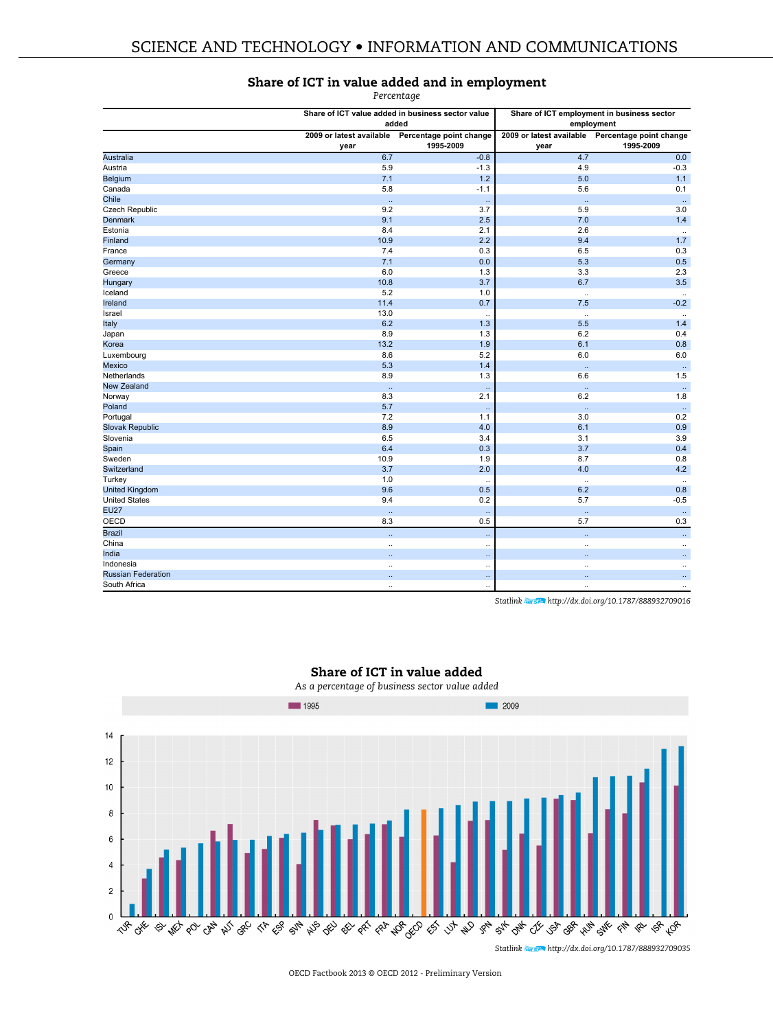#### Share of ICT in value added and in employment *Percentage*

|                           |              | Share of ICT value added in business sector value             |                      | Share of ICT employment in business sector                    |
|---------------------------|--------------|---------------------------------------------------------------|----------------------|---------------------------------------------------------------|
|                           |              | added                                                         |                      | employment                                                    |
|                           | year         | 2009 or latest available Percentage point change<br>1995-2009 | year                 | 2009 or latest available Percentage point change<br>1995-2009 |
| Australia                 | 6.7          | $-0.8$                                                        | 4.7                  | 0.0                                                           |
| Austria                   | 5.9          | $-1.3$                                                        | 4.9                  | $-0.3$                                                        |
| Belgium                   | 7.1          | 1.2                                                           | 5.0                  | 1.1                                                           |
| Canada                    | 5.8          | $-1.1$                                                        | 5.6                  | 0.1                                                           |
| Chile                     | $\ldots$     | $\ldots$                                                      | $\ldots$             | $\sim$                                                        |
| Czech Republic            | 9.2          | 3.7                                                           | 5.9                  | 3.0                                                           |
| <b>Denmark</b>            | 9.1          | 2.5                                                           | 7.0                  | 1.4                                                           |
| Estonia                   | 8.4          | 2.1                                                           | 2.6                  | $\cdots$                                                      |
| Finland                   | 10.9         | 2.2                                                           | 9.4                  | 1.7                                                           |
| France                    | 7.4          | 0.3                                                           | 6.5                  | 0.3                                                           |
| Germany                   | 7.1          | 0.0                                                           | 5.3                  | 0.5                                                           |
| Greece                    | 6.0          | 1.3                                                           | 3.3                  | 2.3                                                           |
| Hungary                   | 10.8         | 3.7                                                           | 6.7                  | 3.5                                                           |
| Iceland                   | 5.2          | 1.0                                                           | $\ddotsc$            | $\ddot{\phantom{0}}$                                          |
| Ireland                   | 11.4         | 0.7                                                           | 7.5                  | $-0.2$                                                        |
| Israel                    | 13.0         | $\ddotsc$                                                     | $\cdot$              | $\cdot$                                                       |
| Italy                     | 6.2          | 1.3                                                           | 5.5                  | 1.4                                                           |
| Japan                     | 8.9          | 1.3                                                           | 6.2                  | 0.4                                                           |
| Korea                     | 13.2         | 1.9                                                           | 6.1                  | 0.8                                                           |
| Luxembourg                | 8.6          | 5.2                                                           | 6.0                  | 6.0                                                           |
| Mexico                    | 5.3          | 1.4                                                           | $\ldots$             | $\sim$                                                        |
| Netherlands               | 8.9          | 1.3                                                           | 6.6                  | 1.5                                                           |
| <b>New Zealand</b>        | $\ldots$     | $\ddotsc$                                                     | $\ldots$             | $\ldots$                                                      |
| Norway                    | 8.3          | 2.1                                                           | 6.2                  | 1.8                                                           |
| Poland                    | 5.7          | $\ddotsc$                                                     | $\ddot{\phantom{1}}$ | $\sim$                                                        |
| Portugal                  | 7.2          | 1.1                                                           | 3.0                  | 0.2                                                           |
| Slovak Republic           | 8.9          | 4.0                                                           | 6.1                  | 0.9                                                           |
| Slovenia                  | 6.5          | 3.4                                                           | 3.1                  | 3.9                                                           |
| Spain                     | 6.4          | 0.3                                                           | 3.7                  | 0.4                                                           |
| Sweden                    | 10.9         | 1.9                                                           | 8.7                  | 0.8                                                           |
| Switzerland               | 3.7          | 2.0                                                           | 4.0                  | 4.2                                                           |
| Turkey                    | 1.0          | $\cdot$                                                       | $\cdot$              | $\ldots$                                                      |
| <b>United Kingdom</b>     | 9.6          | 0.5                                                           | 6.2                  | 0.8                                                           |
| <b>United States</b>      | 9.4          | 0.2                                                           | 5.7                  | $-0.5$                                                        |
| <b>EU27</b>               | $\ddotsc$    | $\cdot\cdot$                                                  | $\ddot{\phantom{1}}$ | $\ldots$                                                      |
| OECD                      | 8.3          | 0.5                                                           | 5.7                  | 0.3                                                           |
| <b>Brazil</b>             | $\ldots$     |                                                               | $\ldots$             | $\ldots$                                                      |
| China                     | $\ddotsc$    | $\ddotsc$                                                     | $\ldots$             | $\ddotsc$                                                     |
| India                     | и.           | $\ldots$                                                      | $\sim$               | $\cdot\cdot$                                                  |
| Indonesia                 | $\cdot\cdot$ | $\cdot\cdot$                                                  | $\ldots$             | $\cdot\cdot$                                                  |
| <b>Russian Federation</b> |              |                                                               | и,                   | $\cdot$                                                       |
| South Africa              |              | $\ddotsc$                                                     |                      | $\ddotsc$                                                     |

*Statlink http://dx.doi.org/10.1787/888932709016*



Share of ICT in value added

*As a percentage of business sector value added*

*Statlink http://dx.doi.org/10.1787/888932709035*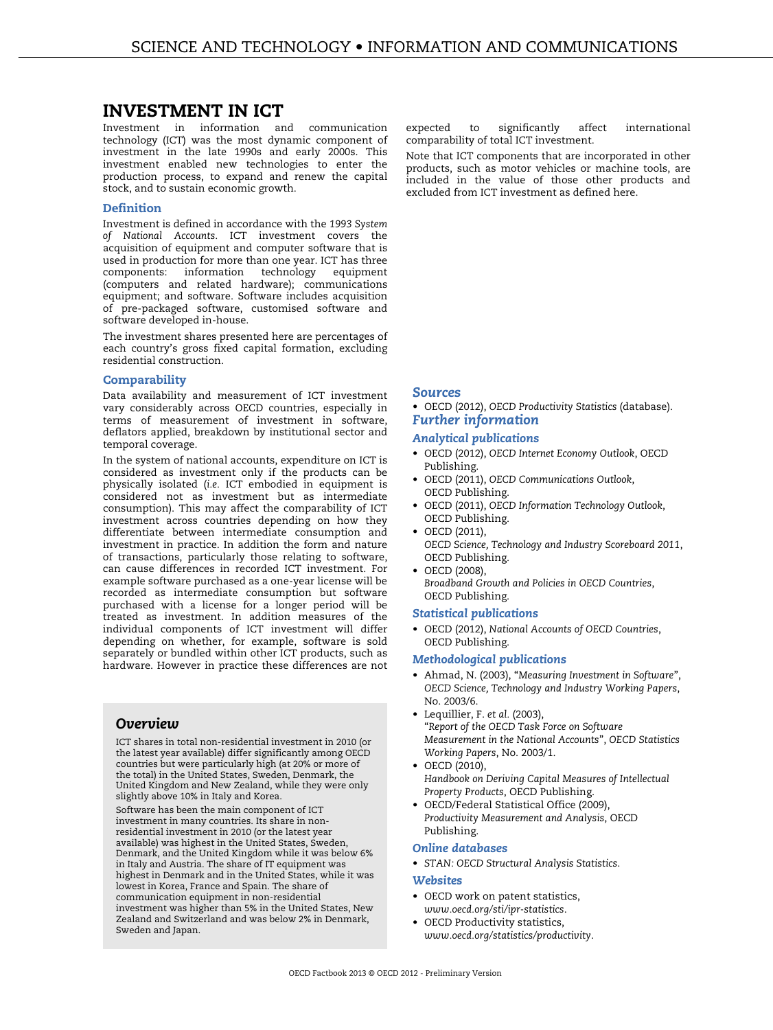# <span id="page-11-0"></span>INVESTMENT IN ICT

Investment in information and communication technology (ICT) was the most dynamic component of investment in the late 1990s and early 2000s. This investment enabled new technologies to enter the production process, to expand and renew the capital stock, and to sustain economic growth.

#### **Definition**

Investment is defined in accordance with the *1993 System of National Accounts*. ICT investment covers the acquisition of equipment and computer software that is used in production for more than one year. ICT has three components: information technology equipment (computers and related hardware); communications equipment; and software. Software includes acquisition of pre-packaged software, customised software and software developed in-house.

The investment shares presented here are percentages of each country's gross fixed capital formation, excluding residential construction.

#### **Comparability**

Data availability and measurement of ICT investment vary considerably across OECD countries, especially in terms of measurement of investment in software, deflators applied, breakdown by institutional sector and temporal coverage.

In the system of national accounts, expenditure on ICT is considered as investment only if the products can be physically isolated (*i.e.* ICT embodied in equipment is considered not as investment but as intermediate consumption). This may affect the comparability of ICT investment across countries depending on how they differentiate between intermediate consumption and investment in practice. In addition the form and nature of transactions, particularly those relating to software, can cause differences in recorded ICT investment. For example software purchased as a one-year license will be recorded as intermediate consumption but software purchased with a license for a longer period will be treated as investment. In addition measures of the individual components of ICT investment will differ depending on whether, for example, software is sold separately or bundled within other ICT products, such as hardware. However in practice these differences are not

### *Overview*

ICT shares in total non-residential investment in 2010 (or the latest year available) differ significantly among OECD countries but were particularly high (at 20% or more of the total) in the United States, Sweden, Denmark, the United Kingdom and New Zealand, while they were only slightly above 10% in Italy and Korea.

Software has been the main component of ICT investment in many countries. Its share in nonresidential investment in 2010 (or the latest year available) was highest in the United States, Sweden, Denmark, and the United Kingdom while it was below 6% in Italy and Austria. The share of IT equipment was highest in Denmark and in the United States, while it was lowest in Korea, France and Spain. The share of communication equipment in non-residential investment was higher than 5% in the United States, New Zealand and Switzerland and was below 2% in Denmark, Sweden and Japan.

expected to significantly affect international comparability of total ICT investment.

Note that ICT components that are incorporated in other products, such as motor vehicles or machine tools, are included in the value of those other products and excluded from ICT investment as defined here.

#### *Sources*

#### • OECD (2012), *OECD Productivity Statistics* (database). *Further information*

#### *Analytical publications*

- OECD (2012), *OECD Internet Economy Outlook*, OECD Publishing.
- OECD (2011), *OECD Communications Outlook*, OECD Publishing.
- OECD (2011), *OECD Information Technology Outlook*, OECD Publishing.
- OECD (2011),
- *OECD Science, Technology and Industry Scoreboard 2011*, OECD Publishing.
- OECD (2008),

*Broadband Growth and Policies in OECD Countries*, OECD Publishing.

#### *Statistical publications*

• OECD (2012), *National Accounts of OECD Countries*, OECD Publishing.

#### *Methodological publications*

- Ahmad, N. (2003), "*Measuring Investment in Software*", *OECD Science, Technology and Industry Working Papers*, No. 2003/6.
- Lequillier, F. *et al.* (2003), "*Report of the OECD Task Force on Software Measurement in the National Accounts*", *OECD Statistics Working Papers*, No. 2003/1.
- OECD (2010), *Handbook on Deriving Capital Measures of Intellectual Property Products*, OECD Publishing.
- OECD/Federal Statistical Office (2009), *Productivity Measurement and Analysis*, OECD Publishing.

#### *Online databases*

• *STAN: OECD Structural Analysis Statistics*.

- OECD work on patent statistics, *www.oecd.org/sti/ipr-statistics*.
- OECD Productivity statistics, *www.oecd.org/statistics/productivity*.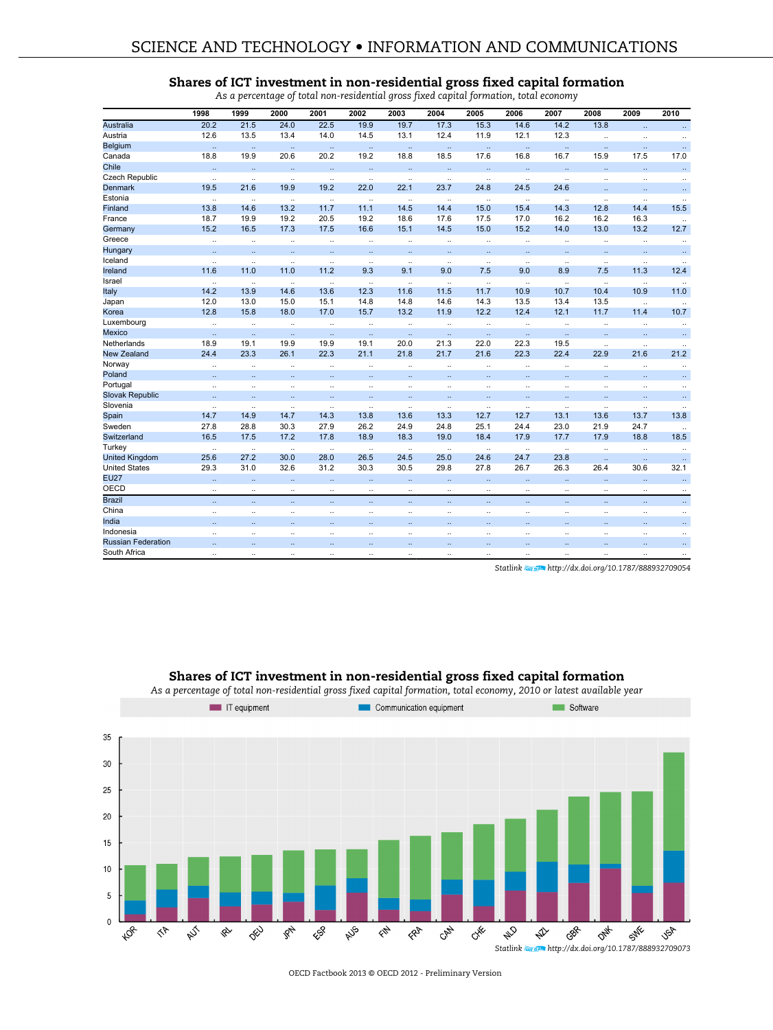|                           | 1998                 | 1999                 | 2000                 | 2001                 | 2002                 | 2003                 | 2004                 | 2005                 | 2006                 | 2007                 | 2008                 | 2009                 | 2010                 |
|---------------------------|----------------------|----------------------|----------------------|----------------------|----------------------|----------------------|----------------------|----------------------|----------------------|----------------------|----------------------|----------------------|----------------------|
| Australia                 | 20.2                 | 21.5                 | 24.0                 | 22.5                 | 19.9                 | 19.7                 | 17.3                 | 15.3                 | 14.6                 | 14.2                 | 13.8                 |                      | $\ddotsc$            |
| Austria                   | 12.6                 | 13.5                 | 13.4                 | 14.0                 | 14.5                 | 13.1                 | 12.4                 | 11.9                 | 12.1                 | 12.3                 | $\ddot{\phantom{a}}$ | $\ddot{\phantom{0}}$ | $\ddotsc$            |
| Belgium                   | $\ldots$             | $\ddotsc$            |                      | $\ddotsc$            | и,                   | $\ldots$             | $\ddotsc$            | $\ldots$             | и,                   | $\ldots$             | $\ddotsc$            | $\ddotsc$            | $\cdot\cdot$         |
| Canada                    | 18.8                 | 19.9                 | 20.6                 | 20.2                 | 19.2                 | 18.8                 | 18.5                 | 17.6                 | 16.8                 | 16.7                 | 15.9                 | 17.5                 | 17.0                 |
| Chile                     | $\ddotsc$            | $\ddotsc$            | ÷.                   | $\ddotsc$            | и,                   | $\ddotsc$            | $\ddotsc$            | $\ddotsc$            | $\ddot{\phantom{a}}$ | $\ddotsc$            | $\ddotsc$            | ÷.                   | $\ddotsc$            |
| Czech Republic            | $\ddot{\phantom{0}}$ | $\ddotsc$            | $\ddot{\phantom{0}}$ | $\ddotsc$            | $\ddotsc$            | $\ddotsc$            | $\ddot{\phantom{a}}$ | $\ddot{\phantom{0}}$ | $\ddot{\phantom{a}}$ | $\ddotsc$            |                      | $\ddotsc$            |                      |
| <b>Denmark</b>            | 19.5                 | 21.6                 | 19.9                 | 19.2                 | 22.0                 | 22.1                 | 23.7                 | 24.8                 | 24.5                 | 24.6                 | $\ddotsc$            | $\ddotsc$            | $\ldots$             |
| Estonia                   | $\ddot{\phantom{a}}$ | $\ddotsc$            | $\ddotsc$            | $\ddotsc$            | $\ddotsc$            | $\ddotsc$            | $\ddot{\phantom{a}}$ | $\ddotsc$            | $\ddot{\phantom{a}}$ | $\ddot{\phantom{a}}$ | $\ddot{\phantom{a}}$ | $\ddot{\phantom{a}}$ |                      |
| Finland                   | 13.8                 | 14.6                 | 13.2                 | 11.7                 | 11.1                 | 14.5                 | 14.4                 | 15.0                 | 15.4                 | 14.3                 | 12.8                 | 14.4                 | 15.5                 |
| France                    | 18.7                 | 19.9                 | 19.2                 | 20.5                 | 19.2                 | 18.6                 | 17.6                 | 17.5                 | 17.0                 | 16.2                 | 16.2                 | 16.3                 |                      |
| Germany                   | 15.2                 | 16.5                 | 17.3                 | 17.5                 | 16.6                 | 15.1                 | 14.5                 | 15.0                 | 15.2                 | 14.0                 | 13.0                 | 13.2                 | 12.7                 |
| Greece                    | $\ldots$             | $\ldots$             | $\ddotsc$            | $\ldots$             | $\ddotsc$            | $\ldots$             | $\ddotsc$            | $\ldots$             | $\ddot{\phantom{a}}$ | $\ldots$             | $\ldots$             | $\ldots$             |                      |
| Hungary                   | $\ddotsc$            | $\ddotsc$            | $\ddotsc$            | $\ddotsc$            |                      | $\ddotsc$            | $\ddotsc$            | $\sim$               | и,                   | $\ddotsc$            | $\ddotsc$            | $\ddotsc$            | $\ldots$             |
| Iceland                   | $\ldots$             | $\ddotsc$            | $\ddot{\phantom{0}}$ | $\ddotsc$            | $\ddotsc$            | $\ddotsc$            | $\ddot{\phantom{a}}$ | $\ddotsc$            | $\ddot{\phantom{a}}$ | $\ddotsc$            | $\ddotsc$            | $\ddotsc$            |                      |
| Ireland                   | 11.6                 | 11.0                 | 11.0                 | 11.2                 | 9.3                  | 9.1                  | 9.0                  | 7.5                  | 9.0                  | 8.9                  | 7.5                  | 11.3                 | 12.4                 |
| Israel                    | $\ddotsc$            | $\ddotsc$            | $\ddotsc$            | $\ddotsc$            | $\ddotsc$            | $\ddotsc$            | $\ddotsc$            | $\ddotsc$            | $\ddotsc$            | $\ddotsc$            | $\ddotsc$            | $\ddotsc$            |                      |
| Italy                     | 14.2                 | 13.9                 | 14.6                 | 13.6                 | 12.3                 | 11.6                 | 11.5                 | 11.7                 | 10.9                 | 10.7                 | 10.4                 | 10.9                 | 11.0                 |
| Japan                     | 12.0                 | 13.0                 | 15.0                 | 15.1                 | 14.8                 | 14.8                 | 14.6                 | 14.3                 | 13.5                 | 13.4                 | 13.5                 | $\ddot{\phantom{a}}$ | $\ldots$             |
| Korea                     | 12.8                 | 15.8                 | 18.0                 | 17.0                 | 15.7                 | 13.2                 | 11.9                 | 12.2                 | 12.4                 | 12.1                 | 11.7                 | 11.4                 | 10.7                 |
| Luxembourg                | $\ddotsc$            | $\ddotsc$            | $\ddot{\phantom{0}}$ | $\ddotsc$            | $\ddotsc$            | $\ddotsc$            |                      | $\ddotsc$            |                      | $\ddotsc$            |                      | $\ddotsc$            |                      |
| Mexico                    | $\ddotsc$            | $\ddotsc$            | $\ddotsc$            | $\ddotsc$            | $\ddotsc$            | $\ddotsc$            | $\sim$               | $\ldots$             | $\ddotsc$            | $\ddotsc$            | $\ddot{\phantom{0}}$ | $\ddotsc$            | $\ddotsc$            |
| Netherlands               | 18.9                 | 19.1                 | 19.9                 | 19.9                 | 19.1                 | 20.0                 | 21.3                 | 22.0                 | 22.3                 | 19.5                 | $\ddotsc$            | $\ddotsc$            | $\ddotsc$            |
| <b>New Zealand</b>        | 24.4                 | 23.3                 | 26.1                 | 22.3                 | 21.1                 | 21.8                 | 21.7                 | 21.6                 | 22.3                 | 22.4                 | 22.9                 | 21.6                 | 21.2                 |
| Norway                    | $\ddot{\phantom{a}}$ | $\ddotsc$            | $\ddot{\phantom{0}}$ | $\ddotsc$            |                      | $\ddotsc$            | $\ddot{\phantom{a}}$ | $\ddotsc$            | $\ddot{\phantom{a}}$ | $\ddotsc$            | $\ddotsc$            | $\ddotsc$            | $\ddot{\phantom{a}}$ |
| Poland                    | $\ddot{\phantom{0}}$ | $\ddot{\phantom{a}}$ | $\ddot{\phantom{a}}$ |                      |                      | $\ddot{\phantom{a}}$ | $\ddot{\phantom{a}}$ | $\ddot{\phantom{a}}$ |                      |                      |                      | $\ddot{\phantom{0}}$ | $\ddotsc$            |
| Portugal                  | $\ddot{\phantom{a}}$ | $\ddotsc$            | $\ddot{\phantom{a}}$ | $\ddot{\phantom{a}}$ | $\ddot{\phantom{a}}$ | $\ddot{\phantom{a}}$ | $\ddot{\phantom{a}}$ | $\ddot{\phantom{a}}$ | $\ddot{\phantom{a}}$ | $\ddot{\phantom{a}}$ | $\ddot{\phantom{a}}$ | $\ddot{\phantom{a}}$ | $\ddot{\phantom{a}}$ |
| <b>Slovak Republic</b>    | $\ddotsc$            | $\ddotsc$            | $\ddotsc$            | $\ddotsc$            |                      | $\ddotsc$            |                      |                      |                      |                      |                      |                      |                      |
| Slovenia                  | $\ddotsc$            | $\ddotsc$            | $\ddotsc$            | $\ddotsc$            |                      | $\ddotsc$            | ä.                   | $\ddotsc$            | $\ddot{\phantom{a}}$ | $\ddotsc$            | $\ddot{\phantom{a}}$ | $\ddotsc$            |                      |
| Spain                     | 14.7                 | 14.9                 | 14.7                 | 14.3                 | 13.8                 | 13.6                 | 13.3                 | 12.7                 | 12.7                 | 13.1                 | 13.6                 | 13.7                 | 13.8                 |
| Sweden                    | 27.8                 | 28.8                 | 30.3                 | 27.9                 | 26.2                 | 24.9                 | 24.8                 | 25.1                 | 24.4                 | 23.0                 | 21.9                 | 24.7                 | $\ddotsc$            |
| Switzerland               | 16.5                 | 17.5                 | 17.2                 | 17.8                 | 18.9                 | 18.3                 | 19.0                 | 18.4                 | 17.9                 | 17.7                 | 17.9                 | 18.8                 | 18.5                 |
| Turkey                    | $\ddot{\phantom{0}}$ | $\ddotsc$            | $\ddotsc$            | $\ddotsc$            | $\ddot{\phantom{0}}$ | $\ddotsc$            | $\ddot{\phantom{a}}$ | $\ddot{\phantom{a}}$ | $\ddot{\phantom{a}}$ | $\ddotsc$            | $\ddot{\phantom{a}}$ | $\ddotsc$            | $\ddotsc$            |
| <b>United Kingdom</b>     | 25.6                 | 27.2                 | 30.0                 | 28.0                 | 26.5                 | 24.5                 | 25.0                 | 24.6                 | 24.7                 | 23.8                 | $\ddotsc$            | $\ddotsc$            | $\cdot\cdot$         |
| <b>United States</b>      | 29.3                 | 31.0                 | 32.6                 | 31.2                 | 30.3                 | 30.5                 | 29.8                 | 27.8                 | 26.7                 | 26.3                 | 26.4                 | 30.6                 | 32.1                 |
| <b>EU27</b>               |                      |                      | $\ddotsc$            | Ξ.                   |                      |                      |                      |                      |                      |                      |                      |                      | $\ddotsc$            |
| OECD                      | $\ldots$             | $\ldots$             | $\ddotsc$            | $\ddotsc$            | $\cdot\cdot$         | $\ldots$             | $\ddotsc$            | $\ldots$             | $\ddotsc$            | $\ldots$             | $\cdot\cdot$         | $\ldots$             | $\ldots$             |
| <b>Brazil</b>             | $\ddotsc$            | $\ddotsc$            | $\ddotsc$            | Ξ.                   |                      | $\ddot{\phantom{0}}$ | $\ddotsc$            | $\ddotsc$            |                      | ä.                   |                      | ÷.                   | $\ddotsc$            |
| China                     | $\ddotsc$            | $\ddotsc$            | $\ddotsc$            | $\ddotsc$            |                      | $\ddotsc$            | $\ddotsc$            | $\ddotsc$            | $\ddotsc$            | $\ddotsc$            | $\ddotsc$            | $\ddotsc$            | $\ddotsc$            |
| India                     | $\ddotsc$            | $\ddotsc$            | $\ddotsc$            |                      |                      | $\ddotsc$            | $\ddotsc$            | $\sim$               |                      | $\ddotsc$            | $\ddot{\phantom{0}}$ | $\ddotsc$            | $\ldots$             |
| Indonesia                 | $\ddotsc$            | $\ddotsc$            | $\ddotsc$            | $\ddotsc$            |                      | $\ddotsc$            | $\ddotsc$            | $\ddotsc$            |                      | $\ddotsc$            | $\ddot{\phantom{a}}$ | $\ddotsc$            | $\ldots$             |
| <b>Russian Federation</b> | $\ddot{\phantom{0}}$ | $\ddot{\phantom{0}}$ | $\ddot{\phantom{0}}$ | $\ddotsc$            | ÷.                   | $\ddot{\phantom{0}}$ | $\ddot{\phantom{a}}$ | $\ddot{\phantom{0}}$ |                      | $\ddot{\phantom{0}}$ | $\ddot{\phantom{0}}$ | $\ddot{\phantom{0}}$ | $\ldots$             |
| South Africa              | $\ddotsc$            | $\ddotsc$            | $\ddotsc$            | $\ddotsc$            |                      | $\ddotsc$            | $\ddotsc$            | $\ddotsc$            | $\ddotsc$            | $\ddotsc$            | $\ddotsc$            | $\ddotsc$            | $\ldots$             |
|                           |                      |                      |                      |                      |                      |                      |                      |                      |                      |                      |                      |                      |                      |

# Shares of ICT investment in non-residential gross fixed capital formation

*As a percentage of total non-residential gross fixed capital formation, total economy*

*Statlink http://dx.doi.org/10.1787/888932709054*



# Shares of ICT investment in non-residential gross fixed capital formation

*As a percentage of total non-residential gross fixed capital formation, total economy, 2010 or latest available year*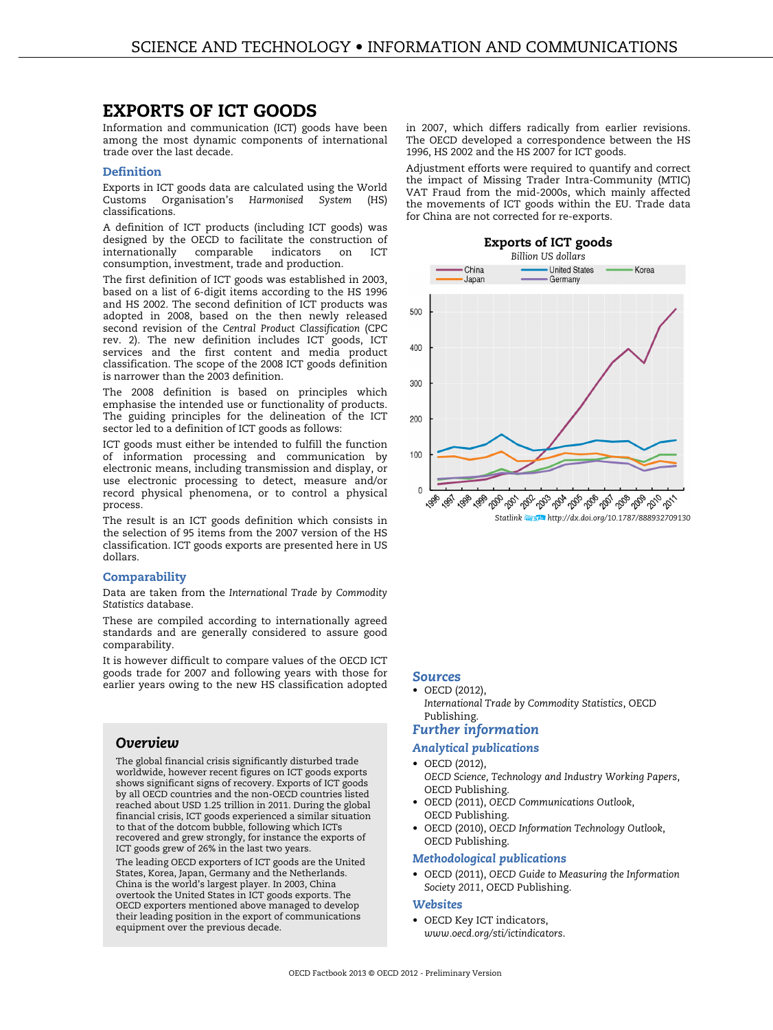# <span id="page-13-0"></span>EXPORTS OF ICT GOODS

Information and communication (ICT) goods have been among the most dynamic components of international trade over the last decade.

#### **Definition**

Exports in ICT goods data are calculated using the World<br>Customs Organisation's Harmonised System (HS) Customs Organisation's Harmonised classifications.

A definition of ICT products (including ICT goods) was designed by the OECD to facilitate the construction of internationally comparable indicators on ICT consumption, investment, trade and production.

The first definition of ICT goods was established in 2003, based on a list of 6-digit items according to the HS 1996 and HS 2002. The second definition of ICT products was adopted in 2008, based on the then newly released second revision of the *Central Product Classification* (CPC rev. 2). The new definition includes ICT goods, ICT services and the first content and media product classification. The scope of the 2008 ICT goods definition is narrower than the 2003 definition.

The 2008 definition is based on principles which emphasise the intended use or functionality of products. The guiding principles for the delineation of the ICT sector led to a definition of ICT goods as follows:

ICT goods must either be intended to fulfill the function of information processing and communication by electronic means, including transmission and display, or use electronic processing to detect, measure and/or record physical phenomena, or to control a physical process.

The result is an ICT goods definition which consists in the selection of 95 items from the 2007 version of the HS classification. ICT goods exports are presented here in US dollars.

#### **Comparability**

Data are taken from the *International Trade by Commodity Statistics* database.

These are compiled according to internationally agreed standards and are generally considered to assure good comparability.

It is however difficult to compare values of the OECD ICT goods trade for 2007 and following years with those for earlier years owing to the new HS classification adopted

# *Overview*

The global financial crisis significantly disturbed trade worldwide, however recent figures on ICT goods exports shows significant signs of recovery. Exports of ICT goods by all OECD countries and the non-OECD countries listed reached about USD 1.25 trillion in 2011. During the global financial crisis, ICT goods experienced a similar situation to that of the dotcom bubble, following which ICTs recovered and grew strongly, for instance the exports of ICT goods grew of 26% in the last two years.

The leading OECD exporters of ICT goods are the United States, Korea, Japan, Germany and the Netherlands. China is the world's largest player. In 2003, China overtook the United States in ICT goods exports. The OECD exporters mentioned above managed to develop their leading position in the export of communications equipment over the previous decade.

in 2007, which differs radically from earlier revisions. The OECD developed a correspondence between the HS 1996, HS 2002 and the HS 2007 for ICT goods.

Adjustment efforts were required to quantify and correct the impact of Missing Trader Intra-Community (MTIC) VAT Fraud from the mid-2000s, which mainly affected the movements of ICT goods within the EU. Trade data for China are not corrected for re-exports.



#### *Sources*

• OECD (2012), *International Trade by Commodity Statistics*, OECD Publishing.

# *Further information*

### *Analytical publications*

- OECD (2012),
- *OECD Science, Technology and Industry Working Papers*, OECD Publishing.
- OECD (2011), *OECD Communications Outlook*, OECD Publishing.
- OECD (2010), *OECD Information Technology Outlook*, OECD Publishing.

#### *Methodological publications*

• OECD (2011), *OECD Guide to Measuring the Information Society 2011*, OECD Publishing.

#### *Websites*

• OECD Key ICT indicators, *www.oecd.org/sti/ictindicators*.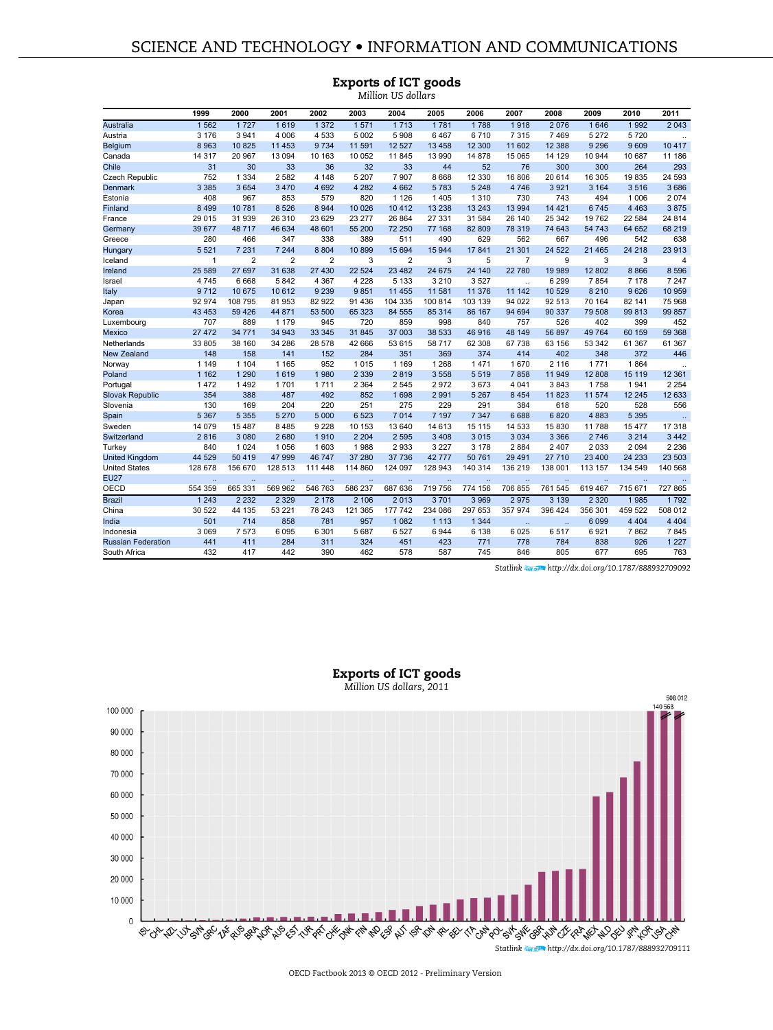|                           | 1999         | 2000                 | 2001           | 2002           | 2003    | 2004           | 2005                 | 2006    | 2007                 | 2008                 | 2009      | 2010                 | 2011           |
|---------------------------|--------------|----------------------|----------------|----------------|---------|----------------|----------------------|---------|----------------------|----------------------|-----------|----------------------|----------------|
| Australia                 | 1 5 6 2      | 1727                 | 1619           | 1 3 7 2        | 1571    | 1713           | 1781                 | 1788    | 1918                 | 2076                 | 1646      | 1992                 | 2043           |
| Austria                   | 3 1 7 6      | 3 9 4 1              | 4 0 0 6        | 4533           | 5 0 0 2 | 5908           | 6467                 | 6710    | 7315                 | 7469                 | 5 2 7 2   | 5720                 |                |
| Belgium                   | 8 9 6 3      | 10825                | 11 453         | 9 7 3 4        | 11 591  | 12 5 27        | 13 4 58              | 12 300  | 11 602               | 12 3 8 8             | 9 2 9 6   | 9609                 | 10417          |
| Canada                    | 14 317       | 20 967               | 13 094         | 10 163         | 10 052  | 11 845         | 13 990               | 14 878  | 15 065               | 14 129               | 10 944    | 10 687               | 11 186         |
| Chile                     | 31           | 30                   | 33             | 36             | 32      | 33             | 44                   | 52      | 76                   | 300                  | 300       | 264                  | 293            |
| <b>Czech Republic</b>     | 752          | 1 3 3 4              | 2 5 8 2        | 4 1 4 8        | 5 2 0 7 | 7 9 0 7        | 8 6 6 8              | 12 3 30 | 16 806               | 20 614               | 16 305    | 19835                | 24 593         |
| <b>Denmark</b>            | 3 3 8 5      | 3654                 | 3 4 7 0        | 4 6 9 2        | 4 2 8 2 | 4 6 6 2        | 5783                 | 5 2 4 8 | 4746                 | 3921                 | 3 1 6 4   | 3516                 | 3686           |
| Estonia                   | 408          | 967                  | 853            | 579            | 820     | 1 1 2 6        | 1405                 | 1 3 1 0 | 730                  | 743                  | 494       | 1 0 0 6              | 2074           |
| Finland                   | 8 4 9 9      | 10781                | 8 5 26         | 8 9 4 4        | 10 0 26 | 10 4 12        | 13 2 38              | 13 243  | 13 994               | 14 4 21              | 6745      | 4 4 6 3              | 3875           |
| France                    | 29 015       | 31939                | 26 310         | 23 6 29        | 23 277  | 26 864         | 27 331               | 31 584  | 26 140               | 25 342               | 19762     | 22 584               | 24 8 14        |
| Germany                   | 39 677       | 48717                | 46 634         | 48 601         | 55 200  | 72 250         | 77 168               | 82 809  | 78 319               | 74 643               | 54 743    | 64 652               | 68 219         |
| Greece                    | 280          | 466                  | 347            | 338            | 389     | 511            | 490                  | 629     | 562                  | 667                  | 496       | 542                  | 638            |
| Hungary                   | 5 5 2 1      | 7 2 3 1              | 7 2 4 4        | 8 8 0 4        | 10899   | 15 694         | 15 944               | 17841   | 21 301               | 24 5 22              | 21 4 65   | 24 218               | 23 913         |
| Iceland                   | $\mathbf{1}$ | $\overline{2}$       | $\overline{2}$ | $\overline{2}$ | 3       | $\overline{2}$ | 3                    | 5       | $\overline{7}$       | 9                    | 3         | 3                    | $\overline{4}$ |
| Ireland                   | 25 589       | 27 697               | 31 638         | 27 430         | 22 5 24 | 23 4 82        | 24 675               | 24 140  | 22 780               | 19 989               | 12 802    | 8866                 | 8 5 9 6        |
| Israel                    | 4745         | 6668                 | 5842           | 4 3 6 7        | 4 2 2 8 | 5 1 3 3        | 3 2 1 0              | 3527    | $\ddot{\phantom{a}}$ | 6 2 9 9              | 7854      | 7 1 7 8              | 7 2 4 7        |
| Italy                     | 9712         | 10 675               | 10 612         | 9 2 3 9        | 9851    | 11 455         | 11 581               | 11 376  | 11 142               | 10 529               | 8 2 1 0   | 9626                 | 10 959         |
| Japan                     | 92 974       | 108 795              | 81 953         | 82 922         | 91 436  | 104 335        | 100 814              | 103 139 | 94 022               | 92 513               | 70 164    | 82 141               | 75 968         |
| Korea                     | 43 453       | 59 4 26              | 44 871         | 53 500         | 65 323  | 84 555         | 85 314               | 86 167  | 94 694               | 90 337               | 79 508    | 99 813               | 99 857         |
| Luxembourg                | 707          | 889                  | 1 1 7 9        | 945            | 720     | 859            | 998                  | 840     | 757                  | 526                  | 402       | 399                  | 452            |
| <b>Mexico</b>             | 27 472       | 34 771               | 34 943         | 33 345         | 31 845  | 37 003         | 38 533               | 46916   | 48 149               | 56 897               | 49 7 64   | 60 159               | 59 368         |
| Netherlands               | 33 805       | 38 160               | 34 286         | 28 578         | 42 666  | 53 615         | 58 717               | 62 308  | 67738                | 63 156               | 53 342    | 61 367               | 61 367         |
| <b>New Zealand</b>        | 148          | 158                  | 141            | 152            | 284     | 351            | 369                  | 374     | 414                  | 402                  | 348       | 372                  | 446            |
| Norway                    | 1 1 4 9      | 1 1 0 4              | 1 1 6 5        | 952            | 1015    | 1 1 6 9        | 1 2 6 8              | 1471    | 1670                 | 2 1 1 6              | 1771      | 1864                 |                |
| Poland                    | 1 1 6 2      | 1 2 9 0              | 1619           | 1980           | 2 3 3 9 | 2819           | 3558                 | 5519    | 7858                 | 11 949               | 12 808    | 15 119               | 12 3 61        |
| Portugal                  | 1 4 7 2      | 1492                 | 1701           | 1711           | 2 3 6 4 | 2 5 4 5        | 2972                 | 3673    | 4 0 4 1              | 3843                 | 1758      | 1941                 | 2 2 5 4        |
| <b>Slovak Republic</b>    | 354          | 388                  | 487            | 492            | 852     | 1698           | 2 9 9 1              | 5 2 6 7 | 8 4 5 4              | 11 823               | 11 574    | 12 245               | 12 633         |
| Slovenia                  | 130          | 169                  | 204            | 220            | 251     | 275            | 229                  | 291     | 384                  | 618                  | 520       | 528                  | 556            |
| Spain                     | 5 3 6 7      | 5 3 5 5              | 5 2 7 0        | 5 0 0 0        | 6 5 23  | 7014           | 7 197                | 7 3 4 7 | 6688                 | 6820                 | 4883      | 5 3 9 5              | $\ddotsc$      |
| Sweden                    | 14 079       | 15 487               | 8 4 8 5        | 9 2 2 8        | 10 153  | 13 640         | 14 613               | 15 115  | 14 533               | 15 830               | 11788     | 15 477               | 17 318         |
| Switzerland               | 2816         | 3 0 8 0              | 2680           | 1910           | 2 2 0 4 | 2 5 9 5        | 3 4 0 8              | 3015    | 3 0 3 4              | 3 3 6 6              | 2746      | 3 2 1 4              | 3 4 4 2        |
| Turkey                    | 840          | 1 0 2 4              | 1056           | 1603           | 1988    | 2933           | 3 2 2 7              | 3 1 7 8 | 2884                 | 2407                 | 2 0 3 3   | 2 0 9 4              | 2 2 3 6        |
| <b>United Kingdom</b>     | 44 529       | 50 419               | 47 999         | 46747          | 37 280  | 37 736         | 42777                | 50 761  | 29 4 9 1             | 27 710               | 23 400    | 24 233               | 23 503         |
| <b>United States</b>      | 128 678      | 156 670              | 128 513        | 111 448        | 114 860 | 124 097        | 128 943              | 140 314 | 136 219              | 138 001              | 113 157   | 134 549              | 140 568        |
| <b>EU27</b>               | $\ddotsc$    | $\ddot{\phantom{0}}$ | $\ddotsc$      | $\ddotsc$      | и,      | ٠.             | $\ddot{\phantom{a}}$ | Ω,      | $\ddot{\phantom{a}}$ | $\ddot{\phantom{0}}$ | $\ddotsc$ | $\ddot{\phantom{0}}$ | $\cdot\cdot$   |
| <b>OECD</b>               | 554 359      | 665 331              | 569 962        | 546 763        | 586 237 | 687 636        | 719 756              | 774 156 | 706 855              | 761 545              | 619 467   | 715 671              | 727 865        |
| <b>Brazil</b>             | 1 2 4 3      | 2 2 3 2              | 2 3 2 9        | 2 1 7 8        | 2 10 6  | 2013           | 3701                 | 3 9 6 9 | 2975                 | 3 1 3 9              | 2 3 2 0   | 1985                 | 1792           |
| China                     | 30 522       | 44 135               | 53 221         | 78 243         | 121 365 | 177 742        | 234 086              | 297 653 | 357 974              | 396 424              | 356 301   | 459 522              | 508 012        |
| India                     | 501          | 714                  | 858            | 781            | 957     | 1 0 8 2        | 1 1 1 3              | 1 3 4 4 | $\sim$               | $\ddotsc$            | 6099      | 4 4 0 4              | 4 4 0 4        |
| Indonesia                 | 3 0 6 9      | 7573                 | 6 0 9 5        | 6 3 0 1        | 5687    | 6527           | 6944                 | 6 1 3 8 | 6025                 | 6517                 | 6921      | 7862                 | 7845           |
| <b>Russian Federation</b> | 441          | 411                  | 284            | 311            | 324     | 451            | 423                  | 771     | 778                  | 784                  | 838       | 926                  | 1 2 2 7        |
| South Africa              | 432          | 417                  | 442            | 390            | 462     | 578            | 587                  | 745     | 846                  | 805                  | 677       | 695                  | 763            |

# Exports of ICT goods

*Million US dollars*

*Statlink http://dx.doi.org/10.1787/888932709092*



Exports of ICT goods *Million US dollars, 2011*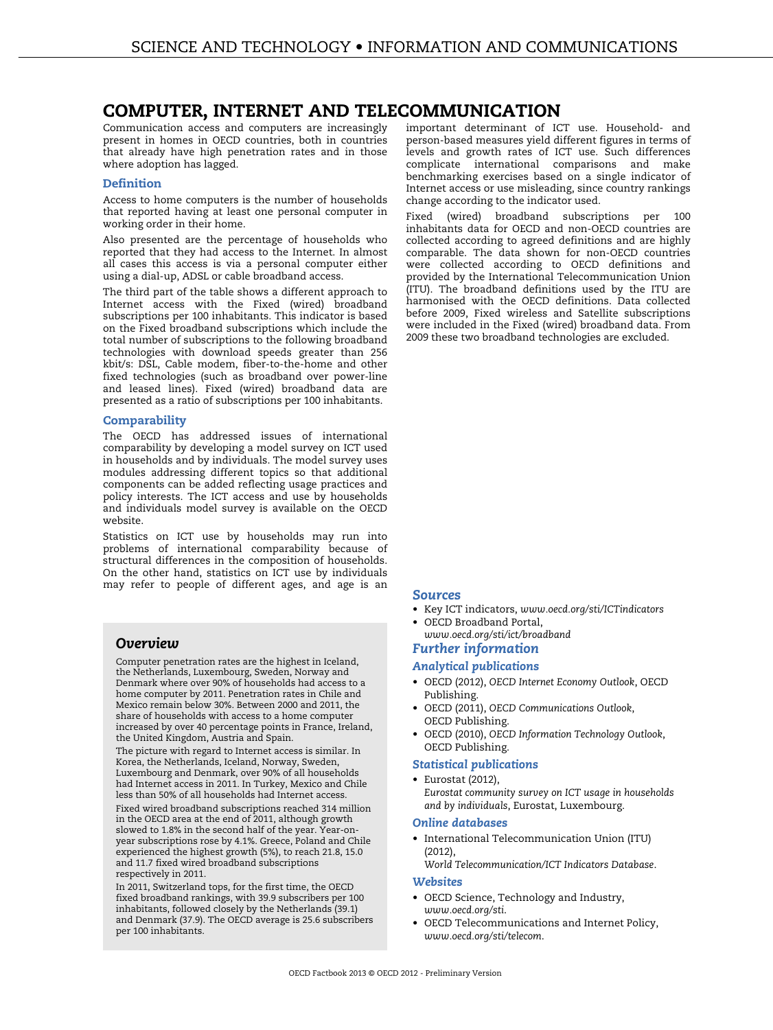# <span id="page-15-0"></span>COMPUTER, INTERNET AND TELECOMMUNICATION

Communication access and computers are increasingly present in homes in OECD countries, both in countries that already have high penetration rates and in those where adoption has lagged.

#### Definition

Access to home computers is the number of households that reported having at least one personal computer in working order in their home.

Also presented are the percentage of households who reported that they had access to the Internet. In almost all cases this access is via a personal computer either using a dial-up, ADSL or cable broadband access.

The third part of the table shows a different approach to Internet access with the Fixed (wired) broadband subscriptions per 100 inhabitants. This indicator is based on the Fixed broadband subscriptions which include the total number of subscriptions to the following broadband technologies with download speeds greater than 256 kbit/s: DSL, Cable modem, fiber-to-the-home and other fixed technologies (such as broadband over power-line and leased lines). Fixed (wired) broadband data are presented as a ratio of subscriptions per 100 inhabitants.

#### **Comparability**

The OECD has addressed issues of international comparability by developing a model survey on ICT used in households and by individuals. The model survey uses modules addressing different topics so that additional components can be added reflecting usage practices and policy interests. The ICT access and use by households and individuals model survey is available on the OECD website.

Statistics on ICT use by households may run into problems of international comparability because of structural differences in the composition of households. On the other hand, statistics on ICT use by individuals may refer to people of different ages, and age is an

### *Overview*

Computer penetration rates are the highest in Iceland, the Netherlands, Luxembourg, Sweden, Norway and Denmark where over 90% of households had access to a home computer by 2011. Penetration rates in Chile and Mexico remain below 30%. Between 2000 and 2011, the share of households with access to a home computer increased by over 40 percentage points in France, Ireland, the United Kingdom, Austria and Spain.

The picture with regard to Internet access is similar. In Korea, the Netherlands, Iceland, Norway, Sweden, Luxembourg and Denmark, over 90% of all households had Internet access in 2011. In Turkey, Mexico and Chile less than 50% of all households had Internet access.

Fixed wired broadband subscriptions reached 314 million in the OECD area at the end of 2011, although growth slowed to 1.8% in the second half of the year. Year-onyear subscriptions rose by 4.1%. Greece, Poland and Chile experienced the highest growth (5%), to reach 21.8, 15.0 and 11.7 fixed wired broadband subscriptions respectively in 2011.

In 2011, Switzerland tops, for the first time, the OECD fixed broadband rankings, with 39.9 subscribers per 100 inhabitants, followed closely by the Netherlands (39.1) and Denmark (37.9). The OECD average is 25.6 subscribers per 100 inhabitants.

important determinant of ICT use. Household- and person-based measures yield different figures in terms of levels and growth rates of ICT use. Such differences complicate international comparisons and make benchmarking exercises based on a single indicator of Internet access or use misleading, since country rankings change according to the indicator used.

Fixed (wired) broadband subscriptions per 100 inhabitants data for OECD and non-OECD countries are collected according to agreed definitions and are highly comparable. The data shown for non-OECD countries were collected according to OECD definitions and provided by the International Telecommunication Union (ITU). The broadband definitions used by the ITU are harmonised with the OECD definitions. Data collected before 2009, Fixed wireless and Satellite subscriptions were included in the Fixed (wired) broadband data. From 2009 these two broadband technologies are excluded.

#### *Sources*

- Key ICT indicators, *www.oecd.org/sti/ICTindicators*
- OECD Broadband Portal, *www.oecd.org/sti/ict/broadband*

# *Further information*

#### *Analytical publications*

- OECD (2012), *OECD Internet Economy Outlook*, OECD Publishing.
- OECD (2011), *OECD Communications Outlook*, OECD Publishing.
- OECD (2010), *OECD Information Technology Outlook*, OECD Publishing.

#### *Statistical publications*

• Eurostat (2012), *Eurostat community survey on ICT usage in households and by individuals*, Eurostat, Luxembourg.

#### *Online databases*

• International Telecommunication Union (ITU) (2012),

*World Telecommunication/ICT Indicators Database*.

- OECD Science, Technology and Industry, *www.oecd.org/sti*.
- OECD Telecommunications and Internet Policy, *www.oecd.org/sti/telecom*.